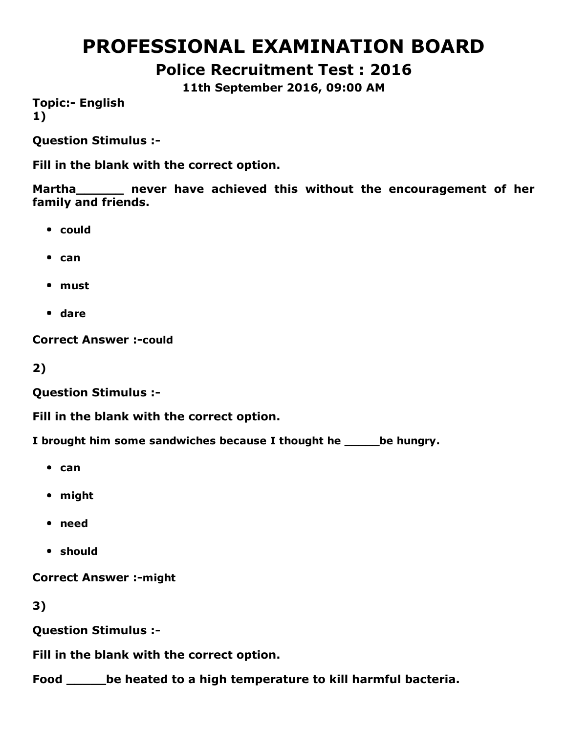# PROFESSIONAL EXAMINATION BOARD

Police Recruitment Test : 2016

11th September 2016, 09:00 AM

**Topic:- English** 1)

Question Stimulus :

Fill in the blank with the correct option.

Martha **never have achieved this without the encouragement of her** family and friends.

- could
- $\bullet$  can
- must
- dare

**Correct Answer :- could** 

2)

Question Stimulus :

Fill in the blank with the correct option.

I brought him some sandwiches because I thought he same be hungry.

- $•$  can
- might
- need
- should

**Correct Answer :- might** 

3)

Question Stimulus :

Fill in the blank with the correct option.

Food be heated to a high temperature to kill harmful bacteria.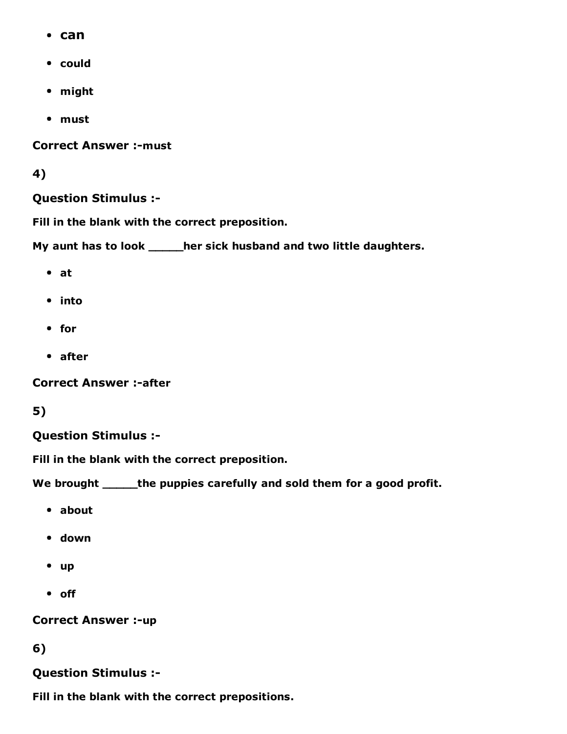- can
- could
- might
- must

**Correct Answer :- must** 

#### 4)

#### Question Stimulus :

Fill in the blank with the correct preposition.

My aunt has to look \_\_\_\_\_her sick husband and two little daughters.

- at
- into
- for
- after

**Correct Answer :-after** 

#### 5)

#### Question Stimulus :

Fill in the blank with the correct preposition.

We brought \_\_\_\_\_\_the puppies carefully and sold them for a good profit.

- about
- down
- up
- off

#### **Correct Answer :- up**

#### 6)

#### Question Stimulus :

Fill in the blank with the correct prepositions.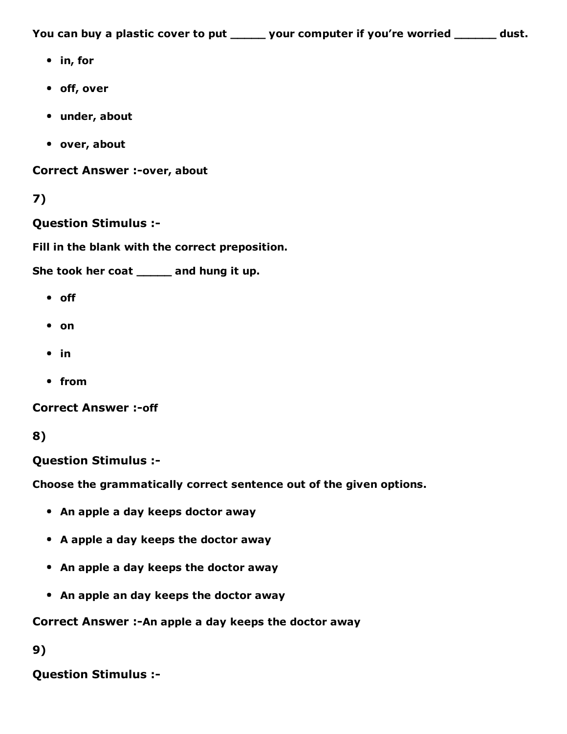You can buy a plastic cover to put \_\_\_\_\_ your computer if you're worried \_\_\_\_\_\_ dust.

- in, for
- off, over
- under, about
- over, about

Correct Answer :-over, about

### 7)

#### Question Stimulus :

Fill in the blank with the correct preposition.

She took her coat \_\_\_\_\_ and hung it up.

- off
- on
- $\cdot$  in
- from

**Correct Answer :- off** 

```
8)
```
Question Stimulus :

Choose the grammatically correct sentence out of the given options.

- An apple a day keeps doctor away
- A apple a day keeps the doctor away
- An apple a day keeps the doctor away
- An apple an day keeps the doctor away

Correct Answer :- An apple a day keeps the doctor away

9)

Question Stimulus :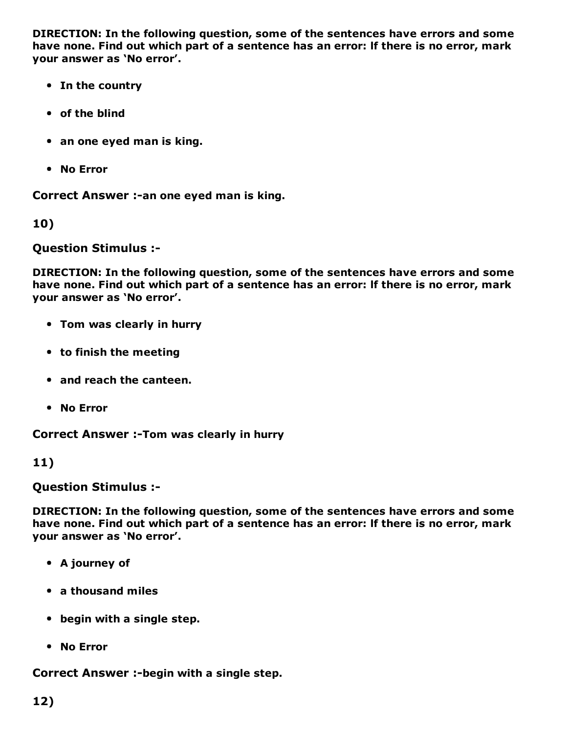DIRECTION: In the following question, some of the sentences have errors and some have none. Find out which part of a sentence has an error: lf there is no error, mark your answer as 'No error'.

- In the country
- of the blind
- an one eyed man is king.
- No Error

Correct Answer :-an one eyed man is king.

10)

Question Stimulus :

DIRECTION: In the following question, some of the sentences have errors and some have none. Find out which part of a sentence has an error: lf there is no error, mark your answer as 'No error'.

- Tom was clearly in hurry
- to finish the meeting
- and reach the canteen.
- No Error

Correct Answer :- Tom was clearly in hurry

11)

Question Stimulus :

DIRECTION: In the following question, some of the sentences have errors and some have none. Find out which part of a sentence has an error: lf there is no error, mark your answer as 'No error'.

- A journey of
- a thousand miles
- begin with a single step.
- No Error

Correct Answer :- begin with a single step.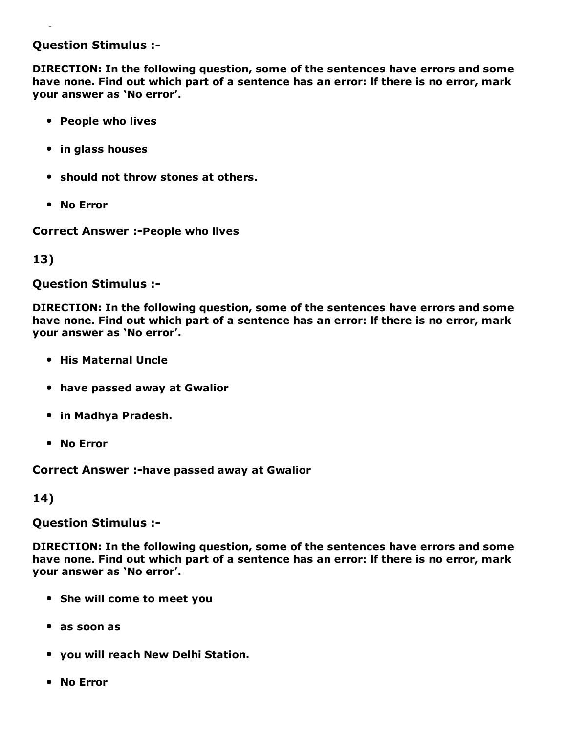#### Question Stimulus :

DIRECTION: In the following question, some of the sentences have errors and some have none. Find out which part of a sentence has an error: lf there is no error, mark your answer as 'No error'.

- People who lives
- in glass houses
- should not throw stones at others.
- No Error

**Correct Answer :- People who lives** 

13)

Question Stimulus :

DIRECTION: In the following question, some of the sentences have errors and some have none. Find out which part of a sentence has an error: lf there is no error, mark your answer as 'No error'.

- His Maternal Uncle
- have passed away at Gwalior
- in Madhya Pradesh.
- No Error

Correct Answer :-have passed away at Gwalior

14)

Question Stimulus :

DIRECTION: In the following question, some of the sentences have errors and some have none. Find out which part of a sentence has an error: lf there is no error, mark your answer as 'No error'.

- She will come to meet you
- as soon as
- you will reach New Delhi Station.
- No Error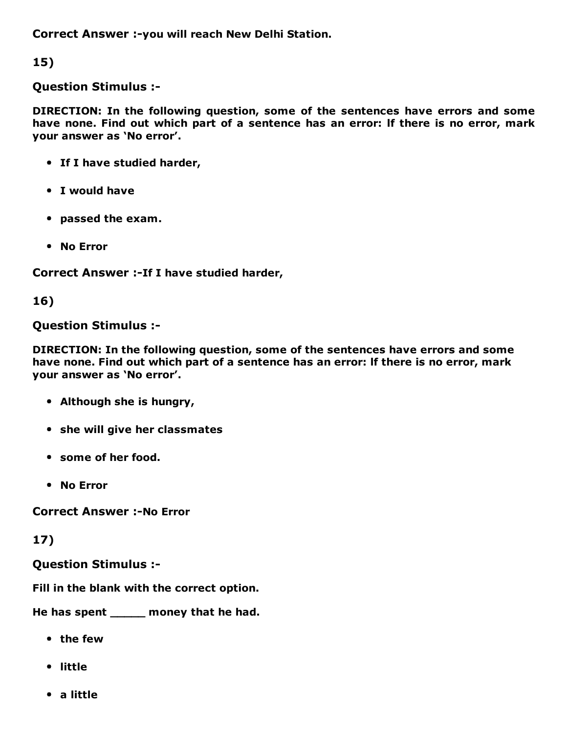Correct Answer :-you will reach New Delhi Station.

15)

Question Stimulus :

DIRECTION: In the following question, some of the sentences have errors and some have none. Find out which part of a sentence has an error: lf there is no error, mark your answer as 'No error'.

- If I have studied harder,
- I would have
- passed the exam.
- No Error

Correct Answer :- If I have studied harder,

16)

#### Question Stimulus :

DIRECTION: In the following question, some of the sentences have errors and some have none. Find out which part of a sentence has an error: lf there is no error, mark your answer as 'No error'.

- Although she is hungry,
- she will give her classmates
- some of her food.
- No Error

**Correct Answer :-No Error** 

17)

Question Stimulus :

Fill in the blank with the correct option.

He has spent \_\_\_\_\_ money that he had.

- the few
- little
- a little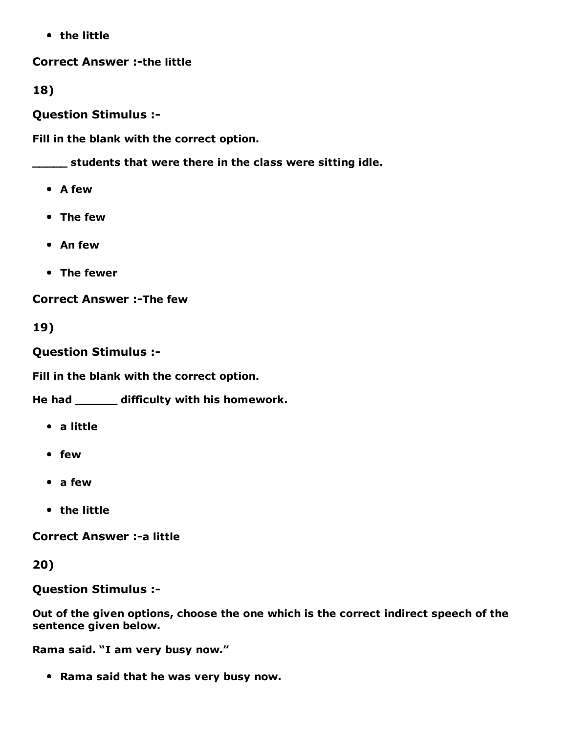• the little

**Correct Answer :-the little** 

18)

Question Stimulus :

Fill in the blank with the correct option.

\_\_\_\_\_ students that were there in the class were sitting idle.

- A few
- The few
- An few
- The fewer

**Correct Answer :-The few** 

19)

Question Stimulus :

Fill in the blank with the correct option.

He had \_\_\_\_\_\_ difficulty with his homework.

- a little
- few
- a few
- the little

**Correct Answer :- a little** 

20)

Question Stimulus :

Out of the given options, choose the one which is the correct indirect speech of the sentence given below.

Rama said. "I am very busy now."

• Rama said that he was very busy now.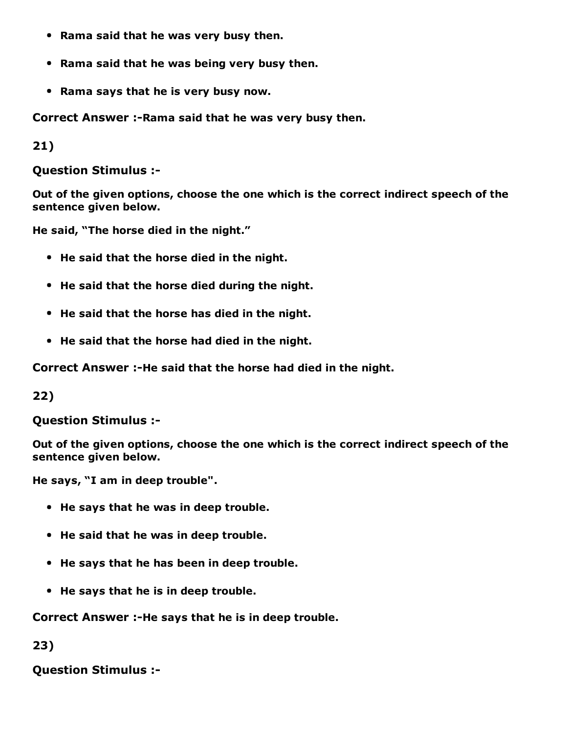- Rama said that he was very busy then.
- Rama said that he was being very busy then.
- Rama says that he is very busy now.

Correct Answer :- Rama said that he was very busy then.

21)

Question Stimulus :

Out of the given options, choose the one which is the correct indirect speech of the sentence given below.

He said, "The horse died in the night."

- He said that the horse died in the night.
- He said that the horse died during the night.
- He said that the horse has died in the night.
- He said that the horse had died in the night.

Correct Answer :-He said that the horse had died in the night.

22)

Question Stimulus :

Out of the given options, choose the one which is the correct indirect speech of the sentence given below.

He says, "I am in deep trouble".

- He says that he was in deep trouble.
- He said that he was in deep trouble.
- He says that he has been in deep trouble.
- He says that he is in deep trouble.

Correct Answer :-He says that he is in deep trouble.

23)

Question Stimulus :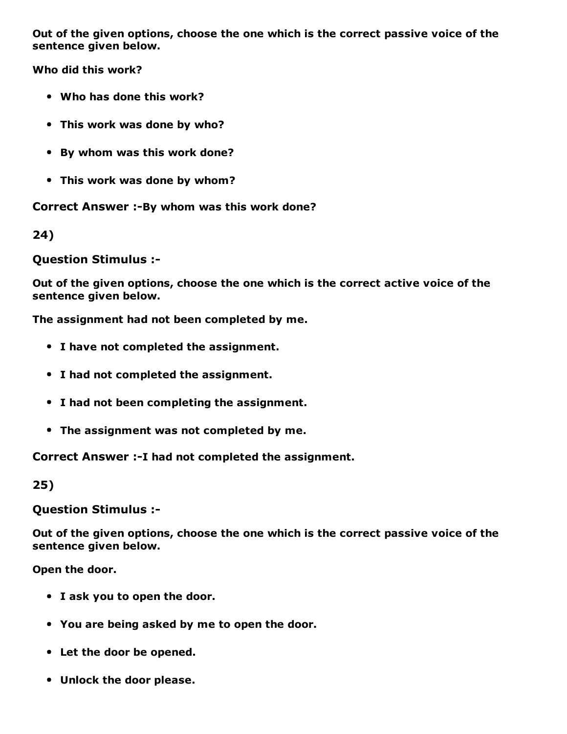Out of the given options, choose the one which is the correct passive voice of the sentence given below.

Who did this work?

- Who has done this work?
- This work was done by who?
- By whom was this work done?
- This work was done by whom?

Correct Answer :-By whom was this work done?

24)

Question Stimulus :

Out of the given options, choose the one which is the correct active voice of the sentence given below.

The assignment had not been completed by me.

- I have not completed the assignment.
- I had not completed the assignment.
- I had not been completing the assignment.
- The assignment was not completed by me.

Correct Answer :- I had not completed the assignment.

25)

Question Stimulus :

Out of the given options, choose the one which is the correct passive voice of the sentence given below.

Open the door.

- I ask you to open the door.
- You are being asked by me to open the door.
- Let the door be opened.
- Unlock the door please.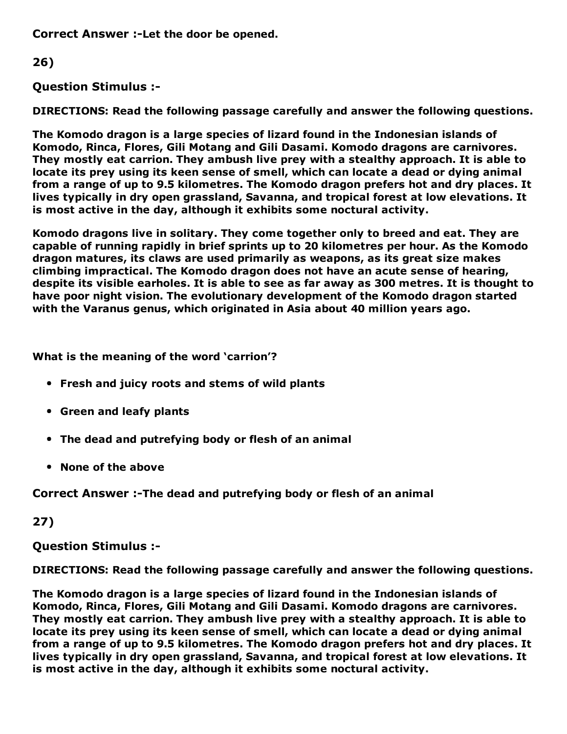Correct Answer :-Let the door be opened.

26)

Question Stimulus :

DIRECTIONS: Read the following passage carefully and answer the following questions.

The Komodo dragon is a large species of lizard found in the Indonesian islands of Komodo, Rinca, Flores, Gili Motang and Gili Dasami. Komodo dragons are carnivores. They mostly eat carrion. They ambush live prey with a stealthy approach. It is able to locate its prey using its keen sense of smell, which can locate a dead or dying animal from a range of up to 9.5 kilometres. The Komodo dragon prefers hot and dry places. It lives typically in dry open grassland, Savanna, and tropical forest at low elevations. It is most active in the day, although it exhibits some noctural activity.

Komodo dragons live in solitary. They come together only to breed and eat. They are capable of running rapidly in brief sprints up to 20 kilometres per hour. As the Komodo dragon matures, its claws are used primarily as weapons, as its great size makes climbing impractical. The Komodo dragon does not have an acute sense of hearing, despite its visible earholes. It is able to see as far away as 300 metres. It is thought to have poor night vision. The evolutionary development of the Komodo dragon started with the Varanus genus, which originated in Asia about 40 million years ago.

What is the meaning of the word 'carrion'?

- Fresh and juicy roots and stems of wild plants
- Green and leafy plants
- The dead and putrefying body or flesh of an animal
- None of the above

Correct Answer :-The dead and putrefying body or flesh of an animal

27)

Question Stimulus :

DIRECTIONS: Read the following passage carefully and answer the following questions.

The Komodo dragon is a large species of lizard found in the Indonesian islands of Komodo, Rinca, Flores, Gili Motang and Gili Dasami. Komodo dragons are carnivores. They mostly eat carrion. They ambush live prey with a stealthy approach. It is able to locate its prey using its keen sense of smell, which can locate a dead or dying animal from a range of up to 9.5 kilometres. The Komodo dragon prefers hot and dry places. It lives typically in dry open grassland, Savanna, and tropical forest at low elevations. It is most active in the day, although it exhibits some noctural activity.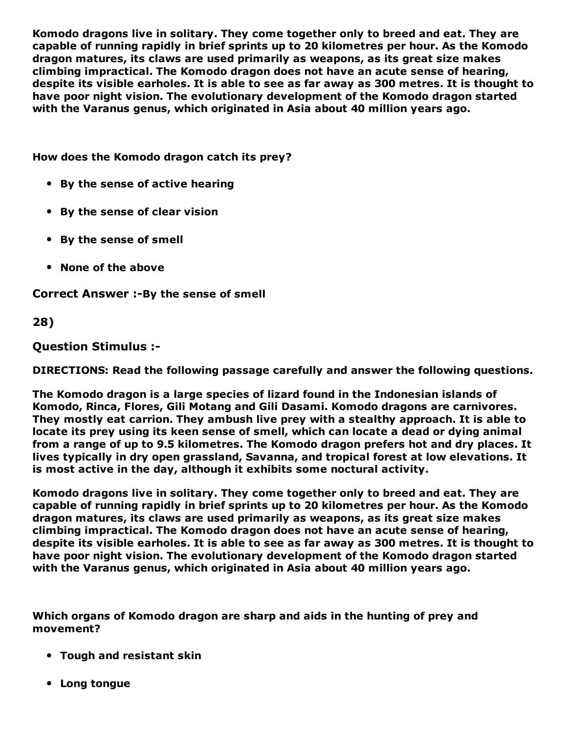Komodo dragons live in solitary. They come together only to breed and eat. They are capable of running rapidly in brief sprints up to 20 kilometres per hour. As the Komodo dragon matures, its claws are used primarily as weapons, as its great size makes climbing impractical. The Komodo dragon does not have an acute sense of hearing, despite its visible earholes. It is able to see as far away as 300 metres. It is thought to have poor night vision. The evolutionary development of the Komodo dragon started with the Varanus genus, which originated in Asia about 40 million years ago.

How does the Komodo dragon catch its prey?

- By the sense of active hearing
- By the sense of clear vision
- By the sense of smell
- None of the above

Correct Answer :-By the sense of smell

28)

Question Stimulus :

DIRECTIONS: Read the following passage carefully and answer the following questions.

The Komodo dragon is a large species of lizard found in the Indonesian islands of Komodo, Rinca, Flores, Gili Motang and Gili Dasami. Komodo dragons are carnivores. They mostly eat carrion. They ambush live prey with a stealthy approach. It is able to locate its prey using its keen sense of smell, which can locate a dead or dying animal from a range of up to 9.5 kilometres. The Komodo dragon prefers hot and dry places. It lives typically in dry open grassland, Savanna, and tropical forest at low elevations. It is most active in the day, although it exhibits some noctural activity.

Komodo dragons live in solitary. They come together only to breed and eat. They are capable of running rapidly in brief sprints up to 20 kilometres per hour. As the Komodo dragon matures, its claws are used primarily as weapons, as its great size makes climbing impractical. The Komodo dragon does not have an acute sense of hearing, despite its visible earholes. It is able to see as far away as 300 metres. It is thought to have poor night vision. The evolutionary development of the Komodo dragon started with the Varanus genus, which originated in Asia about 40 million years ago.

Which organs of Komodo dragon are sharp and aids in the hunting of prey and movement?

- Tough and resistant skin
- Long tongue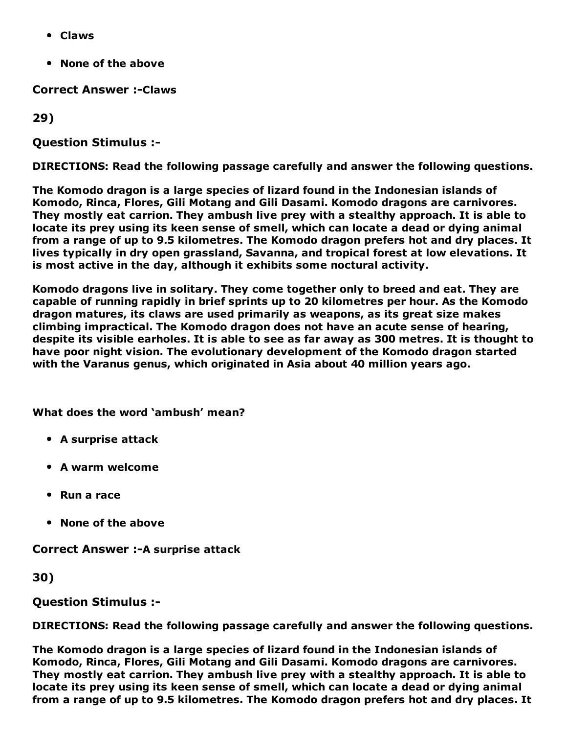- Claws
- None of the above

**Correct Answer :- Claws** 

29)

Question Stimulus :

DIRECTIONS: Read the following passage carefully and answer the following questions.

The Komodo dragon is a large species of lizard found in the Indonesian islands of Komodo, Rinca, Flores, Gili Motang and Gili Dasami. Komodo dragons are carnivores. They mostly eat carrion. They ambush live prey with a stealthy approach. It is able to locate its prey using its keen sense of smell, which can locate a dead or dying animal from a range of up to 9.5 kilometres. The Komodo dragon prefers hot and dry places. It lives typically in dry open grassland, Savanna, and tropical forest at low elevations. It is most active in the day, although it exhibits some noctural activity.

Komodo dragons live in solitary. They come together only to breed and eat. They are capable of running rapidly in brief sprints up to 20 kilometres per hour. As the Komodo dragon matures, its claws are used primarily as weapons, as its great size makes climbing impractical. The Komodo dragon does not have an acute sense of hearing, despite its visible earholes. It is able to see as far away as 300 metres. It is thought to have poor night vision. The evolutionary development of the Komodo dragon started with the Varanus genus, which originated in Asia about 40 million years ago.

What does the word 'ambush' mean?

- A surprise attack
- A warm welcome
- Run a race
- None of the above

**Correct Answer :- A surprise attack** 

30)

Question Stimulus :

DIRECTIONS: Read the following passage carefully and answer the following questions.

The Komodo dragon is a large species of lizard found in the Indonesian islands of Komodo, Rinca, Flores, Gili Motang and Gili Dasami. Komodo dragons are carnivores. They mostly eat carrion. They ambush live prey with a stealthy approach. It is able to locate its prey using its keen sense of smell, which can locate a dead or dying animal from a range of up to 9.5 kilometres. The Komodo dragon prefers hot and dry places. It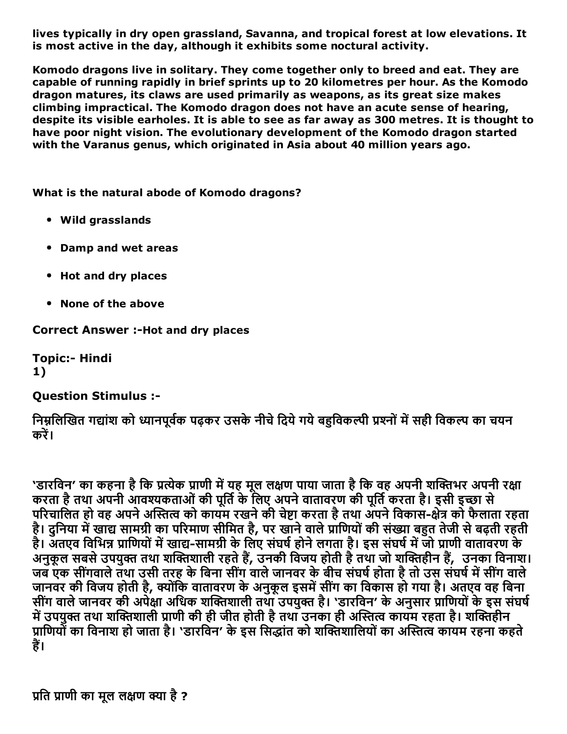lives typically in dry open grassland, Savanna, and tropical forest at low elevations. It is most active in the day, although it exhibits some noctural activity.

Komodo dragons live in solitary. They come together only to breed and eat. They are capable of running rapidly in brief sprints up to 20 kilometres per hour. As the Komodo dragon matures, its claws are used primarily as weapons, as its great size makes climbing impractical. The Komodo dragon does not have an acute sense of hearing, despite its visible earholes. It is able to see as far away as 300 metres. It is thought to have poor night vision. The evolutionary development of the Komodo dragon started with the Varanus genus, which originated in Asia about 40 million years ago.

What is the natural abode of Komodo dragons?

- Wild grasslands
- Damp and wet areas
- Hot and dry places
- None of the above

Correct Answer :- Hot and dry places

**Topic:- Hindi** 1)

#### Question Stimulus :

निम्नलिखित गद्यांश को ध्यानपूर्वक पढ़कर उसके नीचे दिये गये बहविकल्पी प्रश्नों में सही विकल्प का चयन करें।

'डारविन' का कहना है कि प्रत्येक प्राणी में यह मूल लक्षण पाया जाता है कि वह अपनी शक्तिभर अपनी रक्षा करता है तथा अपनी आवश्यकताओं की पूर्ति के लिए अपने वातावरण की पूर्ति करता है। इसी इच्छा से परिचालित हो वह अपने अस्तित्व को कायम रखने की चेष्टा करता है तथा अपने विकास-क्षेत्र को फैलाता रहता है। दुनिया में खाद्य सामग्री का परिमाण सीमित है, पर खाने वाले प्राणियों की संख्या बहुत तेजी से बढ़ती रहती है। अतएव विभिन्न प्राणियों में खाद्य-सामग्री के लिए संघर्ष होने लगता है। इस संघर्ष में जो प्राणी वातावरण के अनुकूल सबसे उपयुक्त तथा शक्तिशाली रहते हैं, उनकी विजय होती है तथा जो शक्तिहीन हैं, उनका विनाश। जब एक सींगवाले तथा उसी तरह के बिना सींग वाले जानवर के बीच संघर्ष होता है तो उस संघर्ष में सींग वाले जानवर की विजय होती है, क्योंकि वातावरण के अनुकूल इसमें सींग का विकास हो गया है। अतएव वह बिना सींग वाले जानवर की अपेक्षा अधिक शक्तिशाली तथा उपयुक्त है। 'डारविन' के अनुसार प्राणियों के इस संघर्ष में उपयुक्त तथा शक्तिशाली प्राणी की ही जीत होती है तथा उनका ही अस्तित्व कायम रहता है। शक्तिहीन प्राणियों का विनाश हो जाता है। 'डारविन' के इस सिद्धांत को शक्तिशालियों का अस्तित्व कायम रहना कहते हैं।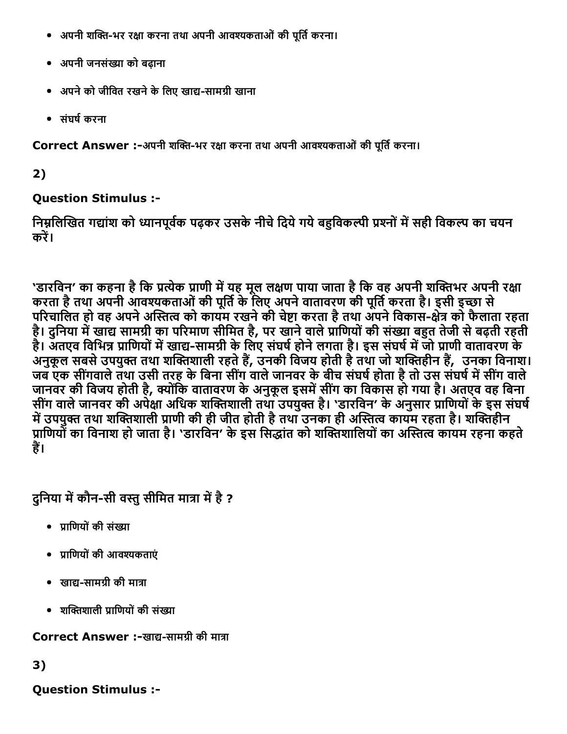- अपनी शक्ति-भर रक्षा करना तथा अपनी आवश्यकताओं की पूर्ति करना।
- अपनी जनसंġा को बढ़ाना
- अपने को जीवित रखने के लिए खाद्य-सामग्री खाना
- संघष└करना

Correct Answer :-अपनी शक्ति-भर रक्षा करना तथा अपनी आवश्यकताओं की पूर्ति करना।

2)

## Question Stimulus :

निम्नलिखित गद्यांश को ध्यानपूर्वक पढ़कर उसके नीचे दिये गये बहुविकल्पी प्रश्नों में सही विकल्प का चयन करें।

'डारविन' का कहना है कि प्रत्येक प्राणी में यह मूल लक्षण पाया जाता है कि वह अपनी शक्तिभर अपनी रक्षा करता है तथा अपनी आवश्यकताओं की पूर्ति के लिए अपने वातावरण की पूर्ति करता है। इसी इच्छा से परिचालित हो वह अपने अस्तित्व को कायम रखने की चेष्टा करता है तथा अंपने विकास-क्षेत्र को फैलाता रहता है। दुनिया में खाद्य सामग्री का परिमाण सीमित है, पर खाने वाले प्राणियों की संख्या बहुत तेजी से बढ़ती रहती है। अतएव विभिन्न प्राणियों में खाद्य-सामग्री के लिए संघर्ष होने लगता है। इस संघर्ष में जो प्राणी वातावरण के अनुकूल सबसे उपयुक्त तथा शक्तिशाली रहते हैं, उनकी विजय होती है तथा जो शक्तिहीन हैं, उनका विनाश। जब एक सींगवाले तथा उसी तरह के बिना सींग वाले जानवर के बीच संघर्ष होता है तो उस संघर्ष में सींग वाले जानवर की विजय होती है, क्योंकि वातावरण के अनुकूल इसमें सींग का विकास हो गया है। अतएव वह बिना सींग वाले जानवर की अपेक्षा अधिक शक्तिशाली तथा उपयुक्त है। 'डारविन' के अनुसार प्राणियों के इस संघर्ष में उपयुक्त तथा शक्तिशाली प्राणी की ही जीत होती है तथा उनका ही अस्तित्व कायम रहता है। शक्तिहीन प्राणियों का विनाश हो जाता है। 'डारविन' के इस सिद्धांत को शक्तिशालियों का अस्तित्व कायम रहना कहते हैं।

दुनिया में कौन-सी वस्तु सीमित मात्रा में है ?

- पाणियों की संख्या
- प्राणियों की आवश्यकताएं
- खाद्य-सामग्री की मात्रा
- शक्तिशाली प्राणियों की संख्या

Correct Answer :-खाद्य-सामग्री की मात्रा

3)

Question Stimulus :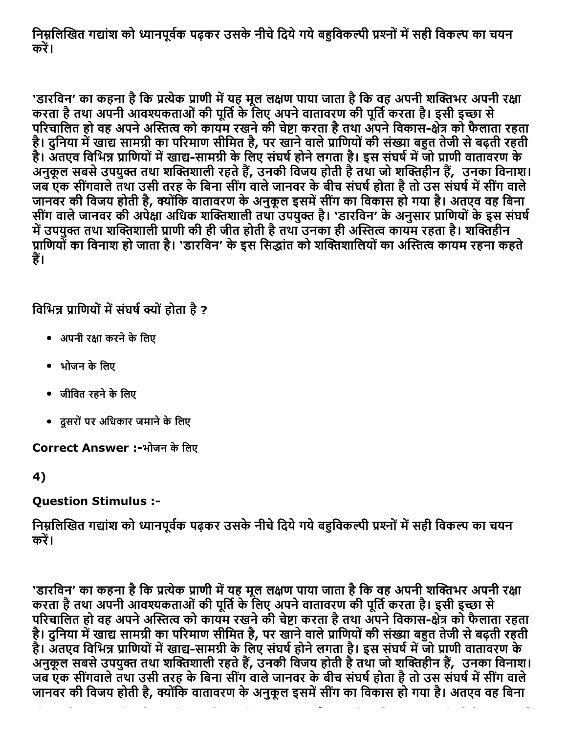निम्नलिखित गद्यांश को ध्यानपूर्वक पढ़कर उसके नीचे दिये गये बहुविकल्पी प्रश्नों में सही विकल्प का चयन करें।

'डारविन' का कहना है कि प्रत्येक प्राणी में यह मूल लक्षण पाया जाता है कि वह अपनी शक्तिभर अपनी रक्षा करता है तथा अपनी आवश्यकताओं की पूर्ति के लिए अपने वातावरण की पूर्ति करता है। इसी इच्छा से परिचालित हो वह अपने अस्तित्व को कायम रखने की चेष्टा करता है तथा अपने विकास-क्षेत्र को फैलाता रहता है। दुनिया में खाद्य सामग्री का परिमाण सीमित है, पर खाने वाले प्राणियों की संख्या बहुत तेजी से बढ़ती रहती है। अतएव विभिन्न प्राणियों में खाद्य-सामग्री के लिए संघर्ष होने लगता है। इस संघर्ष में जो प्राणी वातावरण के अनुकूल सबसे उपयुक्त तथा शक्तिशाली रहते हैं, उनकी विजय होती है तथा जो शक्तिहीन हैं, उनका विनाश। जब एक सींगवाले तथा उसी तरह के बिना सींग वाले जानवर के बीच संघर्ष होता है तो उस संघर्ष में सींग वाले जानवर की विजय होती है, क्योंकि वातावरण के अनुकूल इसमें सींग का विकास हो गया है। अतएव वह बिना सींग वाले जानवर की अपेक्षा अधिक शक्तिशाली तथा उपयुक्त है। 'डारविन' के अनुसार प्राणियों के इस संघर्ष में उपयुक्त तथा शक्तिशाली प्राणी की ही जीत होती है तथा उनका ही अस्तित्व कायम रहता है। शक्तिहीन प्राणियों का विनाश हो जाता है। 'डारविन' के इस सिद्धांत को शक्तिशालियों का अस्तित्व कायम रहना कहते हैं।

## विभिन्न प्राणियों में संघर्ष क्यों होता है ?

- अपनी रक्षा करने के लिए
- भोजन के लिए
- जीवित रहने के लिए
- दूसरोंपर अिधकार जमानेकेिलए

Correct Answer :-भोजन के लिए

4)

### Question Stimulus :

निम्नलिखित गद्यांश को ध्यानपूर्वक पढ़कर उसके नीचे दिये गये बहुविकल्पी प्रश्नों में सही विकल्प का चयन करें।

'डारविन' का कहना है कि प्रत्येक प्राणी में यह मूल लक्षण पाया जाता है कि वह अपनी शक्तिभर अपनी रक्षा करता है तथा अपनी आवश्यकताओं की पूर्ति के लिए अपने वातावरण की पूर्ति करता है। इसी इच्छा से परिचालित हो वह अपने अस्तित्व को कायम रखने की चेष्टा करता है तथा अपने विकास-क्षेत्र को फैलाता रहता है। दुनिया में खाद्य सामग्री का परिमाण सीमित है, पर खाने वाले प्राणियों की संख्या बहुत तेजी से बढ़ती रहती है। अतएव विभिन्न प्राणियों में खाद्य-सामग्री के लिए संघर्ष होने लगता है। इस संघर्ष में जो प्राणी वातावरण के अनुकूल सबसे उपयुक्त तथा शक्तिशाली रहते हैं, उनकी विजय होती है तथा जो शक्तिहीन हैं, उनका विनाश। जब एक सींगवाले तथा उसी तरह के बिना सींग वाले जानवर के बीच संघर्ष होता है तो उस संघर्ष में सींग वाले जानवर की विजय होती है, क्योंकि वातावरण के अनुकूल इसमें सींग का विकास हो गया है। अतएव वह बिना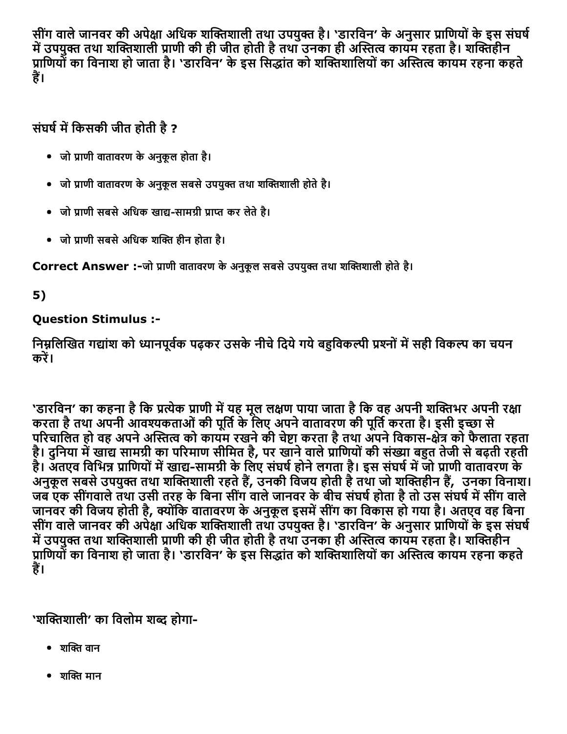सींग वाले जानवर की अपेक्षा अधिक शक्तिशाली तथा उपयुक्त है। 'डारविन' के अनुसार प्राणियों के इस संघर्ष में उपयुक्त तथा शक्तिशाली प्राणी की ही जीत होती है तथा उनका ही अस्तित्व कायम रहता है। शक्तिहीन प्राणियों का विनाश हो जाता है। 'डारविन' के इस सिद्धांत को शक्तिशालियों का अस्तित्व कायम रहना कहते हैं।

## संघर्ष में किसकी जीत होती है ?

- जो प्राणी वातावरण के अनुकूल होता है।
- जो प्राणी वातावरण के अनुकूल सबसे उपयुक्त तथा शक्तिशाली होते है।
- जो प्राणी सबसे अधिक खाद्य-सामग्री प्राप्त कर लेते है।
- जो प्राणी सबसे अधिक शक्ति हीन होता है।

Correct Answer :-जो प्राणी वातावरण के अनुकूल सबसे उपयुक्त तथा शक्तिशाली होते है।

5)

### Question Stimulus :

निम्नलिखित गद्यांश को ध्यानपूर्वक पढ़कर उसके नीचे दिये गये बहविकल्पी प्रश्नों में सही विकल्प का चयन करें।

'डारविन' का कहना है कि प्रत्येक प्राणी में यह मूल लक्षण पाया जाता है कि वह अपनी शक्तिभर अपनी रक्षा करता है तथा अपनी आवश्यकताओं की पूर्ति के लिए अपने वातावरण की पूर्ति करता है। इसी इच्छा से परिचालित हो वह अपने अस्तित्व को कायम रखने की चेष्टा करता है तथा अपने विकास-क्षेत्र को फैलाता रहता है। दुनिया में खाद्य सामग्री का परिमाण सीमित है, पर खाने वाले प्राणियों की संख्या बहुत तेजी से बढ़ती रहती है। अतएव विभिन्न प्राणियों में खाद्य-सामग्री के लिए संघर्ष होने लगता है। इस संघर्ष में जो प्राणी वातावरण के अनुकूल सबसे उपयुक्त तथा शक्तिशाली रहते हैं, उनकी विजय होती है तथा जो शक्तिहीन हैं, उनका विनाश। जब एक सींगवाले तथा उसी तरह के बिना सींग वाले जानवर के बीच संघर्ष होता है तो उस संघर्ष में सींग वाले जानवर की विजय होती है, क्योंकि वातावरण के अनुकूल इसमें सींग का विकास हो गया है। अतएव वह बिना सींग वाले जानवर की अपेक्षा अधिक शक्तिशाली तथा उपयुक्त है। 'डारविन' के अनुसार प्राणियों के इस संघर्ष में उपयुक्त तथा शक्तिशाली प्राणी की ही जीत होती है तथा उनका ही अस्तित्व कायम रहता है। शक्तिहीन प्राणियों का विनाश हो जाता है। 'डारविन' के इस सिद्धांत को शक्तिशालियों का अस्तित्व कायम रहना कहते हैं।

'शक्तिशाली' का विलोम शब्द होगा-

- शक्ति वान
- शक्ति मान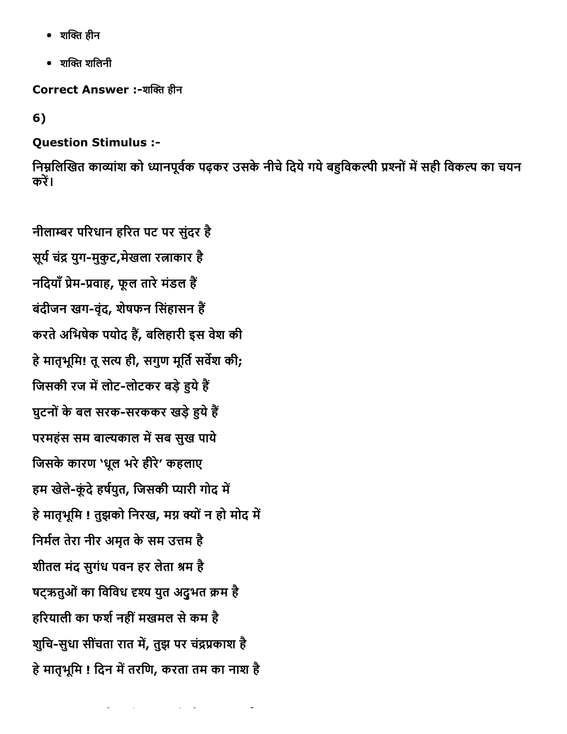- शक्ति हीन
- $\bullet$  शक्ति शलिनी

Correct Answer :-शक्ति हीन

6)

### Question Stimulus :

निम्नलिखित काव्यांश को ध्यानपूर्वक पढ़कर उसके नीचे दिये गये बहुविकल्पी प्रश्नों में सही विकल्प का चयन करें।

नीलाम्बर परिधान हरित पट पर सुंदर है सूर्य चंद्र युग-मुकूट,मेखला रत्नाकार है नदियाँ प्रेम-प्रवाह, फूल तारे मंडल हैं बंदीजन खग-वृंद, शेषफन सिंहासन हैं करते अभिषेक पर्याद हैं, बर्लिहारी इस वेश की हे मातृभूमि! तू सत्य ही, सगुण मूर्ति सर्वेश की; जिसकी रज में लोट-लोटकर बड़े हुये हैं घुटनों के बल सरक-सरककर खड़े हुये हैं परमहंस सम बाल्यकाल में सब सुख पाये जिसके कारण 'धूल भरे हीरे' कहलाए हम खेले-कूंदे हर्षयुत, जिसकी प्यारी गोद में हे मातृभूमि ! तुझको निरख, मग्न क्यों न हो मोद में निर्मल तेरा नीर अमृत के सम उत्तम है शीतल मंद सुगंध पवन हर लेता श्रम है षटऋतुओं का विविध दृश्य युत अदुभत क्रम है हरियाली का फर्श नहीं मखमल से कम है शुचि-सुधा सींचता रात में, तुझ पर चंद्रप्रकाश है हे मातृभूमि ! दिन में तरणि, करता तम का नाश है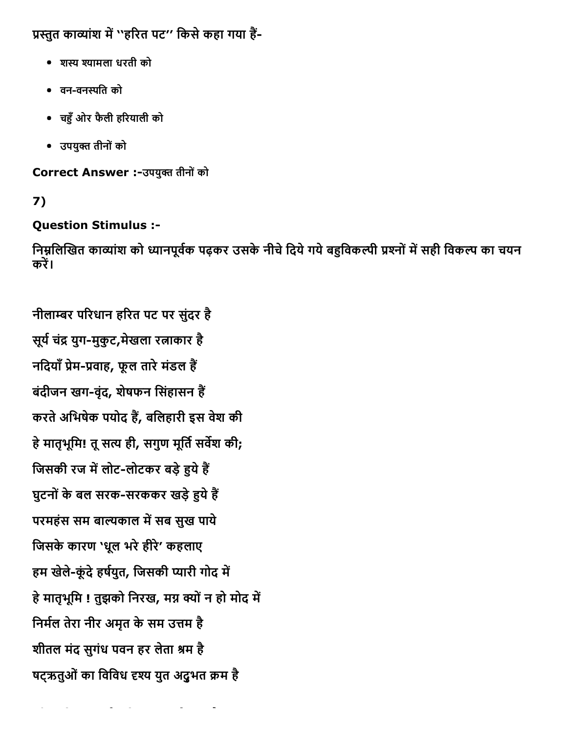प्रस्तुत काव्यांश में ''हरित पट'' किसे कहा गया हैं-

- शקּ ъयामला धरती को
- वनवनמּित को
- चîँओर फैली हδरयाली को
- उपयुक्त तीनों को

Correct Answer :-उपयुक्त तीनों को

## 7)

## Question Stimulus :

निम्नलिखित काव्यांश को ध्यानपूर्वक पढ़कर उसके नीचे दिये गये बहुविकल्पी प्रश्नों में सही विकल्प का चयन करें।

नीलाम्बर परिधान हरित पट पर सुंदर है सूर्य चंद्र युग-मुकुट,मेखला रत्नाकार है नदियाँ प्रेम-प्रवाह, फूल तारे मंडल हैं बंदीजन खग-वंद, शेषफन सिंहासन हैं करते अभिषेक पर्याद हैं, बर्लिहारी इस वेश की हे मातृभूमि! तू सत्य ही, सगुण मूर्ति सर्वेश की; जिसकी रज में लोट-लोटकर बड़े हुये हैं घुटनों के बल सरक-सरककर खड़े हुये हैं परमहंस सम बाल्यकाल में सब सुख पाये जिसके कारण 'धूल भरे हीरे' कहलाए हम खेले-कूंदे हर्षयुत, जिसकी प्यारी गोद में हे मातृभूमि ! तुझको निरख, मग्न क्यों न हो मोद में निर्मल तेरा नीर अमृत के सम उत्तम है शीतल मंद सुगंध पवन हर लेता श्रम है षट्ऋतुओं का विविध दृश्य युत अदुभत क्रम है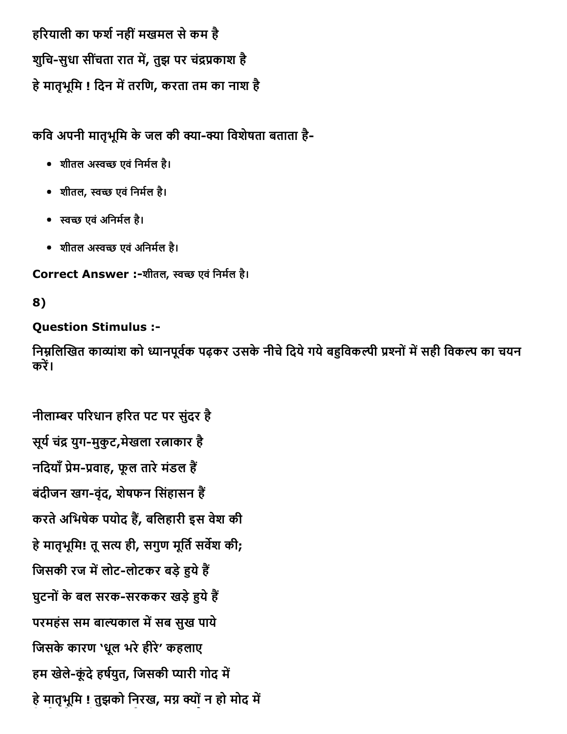हरियाली का फर्श नहीं मखमल से कम है शुचि-सुधा सींचता रात में, तुझ पर चंद्रप्रकाश है हे मातृभूमि ! दिन में तरणि, करता तम का नाश है

कवि अपनी मातृभूमि के जल की क्या-क्या विशेषता बताता है-

- शीतल अस्वच्छ एवं निर्मल है।
- शीतल, स्वच्छ एवं निर्मल है।
- स्वच्छ एवं अनिर्मल है।
- शीतल अस्वच्छ एवं अनिर्मल है।

Correct Answer :-शीतल, स्वच्छ एवं निर्मल है।

## 8)

### Question Stimulus :

निम्नलिखित काव्यांश को ध्यानपूर्वक पढ़कर उसके नीचे दिये गये बहविकल्पी प्रश्नों में सही विकल्प का चयन करें।

नीलाम्बर परिधान हरित पट पर सुंदर है सूर्य चंद्र युग-मुकूट,मेखला रत्नाकार है नदियाँ प्रेम-प्रवाह, फूल तारे मंडल हैं बंदीजन खग-वंद, शेषफन सिंहासन हैं करते अभिषेक पर्याद हैं, बर्लिहारी इस वेश की हे मातृभूमि! तू सत्य ही, सगुण मूर्ति सर्वेश की; जिसकी रज में लोट-लोटकर बड़े हुये हैं घुटनों के बल सरक-सरककर खड़े हुये हैं परमहंस सम बाल्यकाल में सब सुख पाये जिसके कारण 'धूल भरे हीरे' कहलाए हम खेले-कूंदे हर्षयुत, जिसकी प्यारी गोद में हे मातृभूमि ! तुझको निरख, मग्न क्यों न हो मोद में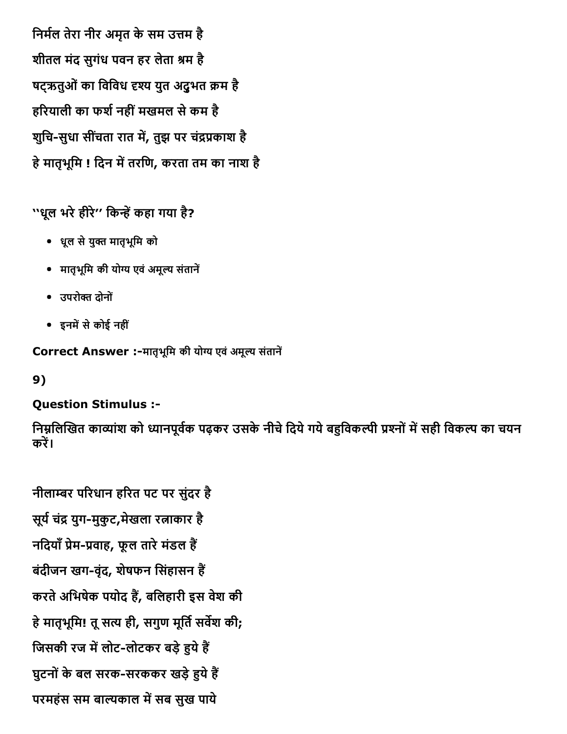निर्मल तेरा नीर अमृत के सम उत्तम है शीतल मंद सुगंध पवन हर लेता श्रम है षट्ऋतुओं का विविध दृश्य युत अदुभत क्रम है हरियाली का फर्श नहीं मखमल से कम है शुचि-सुधा सींचता रात में, तुझ पर चंद्रप्रकाश है हे मातृभूमि ! दिन में तरणि, करता तम का नाश है

''धूल भरे हीरे'' किन्हें कहा गया है?

- धूल सेयुő मातृभूिम को
- मातृभूमि की योग्य एवं अमूल्य संतानें
- उपरोक्त दोनों
- इनमें से कोई नहीं

Correct Answer :-मातृभूमि की योग्य एवं अमूल्य संतानें

9)

## Question Stimulus :

निम्नलिखित काव्यांश को ध्यानपूर्वक पढ़कर उसके नीचे दिये गये बहविकल्पी प्रश्नों में सही विकल्प का चयन करें।

नीलाम्बर परिधान हरित पट पर सुंदर है सूर्य चंद्र युग-मुकुट,मेखला रत्नाकार है नदियाँ प्रेम-प्रवाह, फूल तारे मंडल हैं बंदीजन खग-वंद, शेषफन सिंहासन हैं करते अभिषेक पर्याद हैं, बर्लिहारी इस वेश की हे मातृभूमि! तू सत्य ही, सगुण मूर्ति सर्वेश की; जिसकी रज में लोट-लोटकर बड़े हुये हैं घुटनों के बल सरक-सरककर खड़े हुये हैं परमहंस सम बाल्यकाल में सब सुख पाये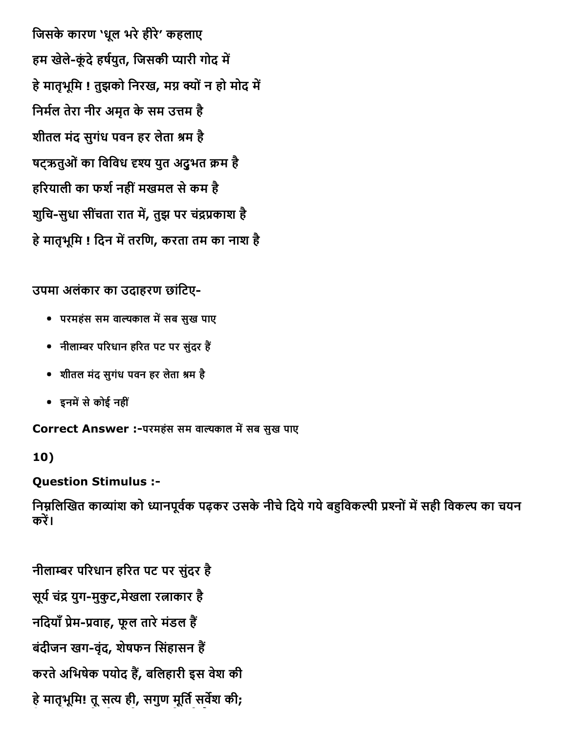जिसके कारण 'धूल भरे हीरे' कहलाए हम खेले-कूंदे हर्षयुत, जिसकी प्यारी गोद में हे मातृभूमि ! तुझको निरख, मग्न क्यों न हो मोद में निर्मल तेरा नीर अमृत के सम उत्तम है शीतल मंद सुगंध पवन हर लेता श्रम है षटऋतुओं का विविध दृश्य युत अदुभत क्रम है हरियाली का फर्श नहीं मखमल से कम है शुचि-सुधा सींचता रात में, तुझ पर चंद्रप्रकाश है हे मातृभूमि ! दिन में तरणि, करता तम का नाश है

उपमा अलंकार का उदाहरण छांिटए-

- परमहंस सम वाल्यकाल में सब सुख पाए
- नीलाम्बर परिधान हरित पट पर सुंदर हैं
- शीतल मंद सुगंध पवन हर लेता श्रम है
- इनमें से कोई नहीं

Correct Answer :-परमहंस सम वाल्यकाल में सब सुख पाए

10)

Question Stimulus :

निम्नलिखित काव्यांश को ध्यानपूर्वक पढ़कर उसके नीचे दिये गये बहुविकल्पी प्रश्नों में सही विकल्प का चयन करें।

नीलाम्बर परिधान हरित पट पर सुंदर है सूर्य चंद्र युग-मुकूट,मेखला रत्नाकार है नदियाँ प्रेम-प्रवाह, फूल तारे मंडल हैं बंदीजन खग-वंद, शेषफन सिंहासन हैं करते अभिषेक पर्याद हैं, बर्लिहारी इस वेश की हे मातृभूमि! तू सत्य ही, सगुण मूर्ति सर्वेश की;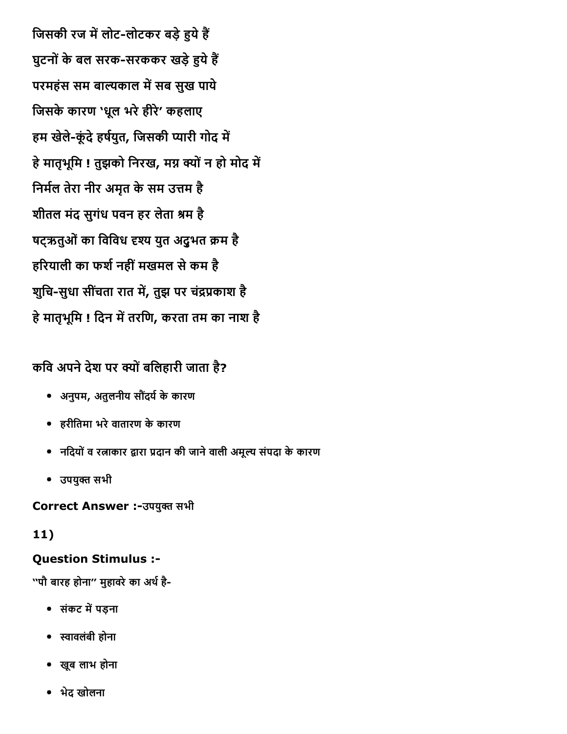जिसकी रज में लोट-लोटकर बड़े हुये हैं घुटनों के बल सरक-सरककर खड़े हुये हैं परमहंस सम बाल्यकाल में सब सुख पाये जिसके कारण 'धूल भरे हीरे' कहलाए हम खेले-कूंदे हर्षयुत, जिसकी प्यारी गोद में हे मातृभूमि ! तुझको निरख, मग्न क्यों न हो मोद में निर्मल तेरा नीर अमृत के सम उत्तम है शीतल मंद सुगंध पवन हर लेता श्रम है षट्ऋतुओं का विविध दृश्य युत अदुभत क्रम है हरियाली का फर्श नहीं मखमल से कम है शुचि-सुधा सींचता रात में, तुझ पर चंद्रप्रकाश है हे मातृभूमि ! दिन में तरणि, करता तम का नाश है

## कवि अपने देश पर क्यों बलिहारी जाता है?

- अनुपम, अतुलनीय सौदंय└केकारण
- हरीितमा भरेवातारण केकारण
- नदियों व रत्नाकार द्वारा प्रदान की जाने वाली अमूल्य संपदा के कारण
- उपयुक्त सभी

Correct Answer :-उपयुक्त सभी

#### 11)

#### Question Stimulus :

''पौ बारह होना'' मुहावरे का अर्थ है-

- संकट में पड़ना
- תּावलंबी होना
- खूब लाभ होना
- भेद खोलना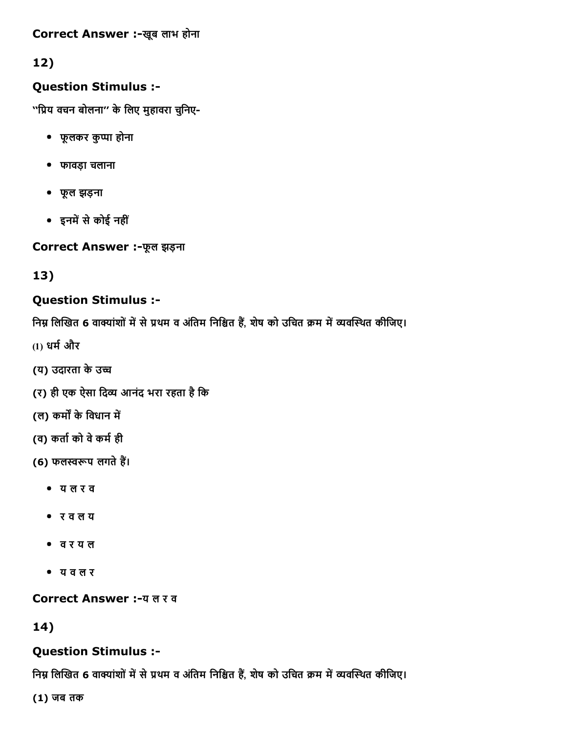Correct Answer :-खूब लाभ होना

12)

#### Question Stimulus :

''प्रिय वचन बोलना'' के लिए मुहावरा चुनिए-

- फूलकर कुЪा होना
- फावड़ा चलाना
- फूल झड़ना
- इनमें से कोई नहीं

Correct Answer :फूल झड़ना

13)

### Question Stimulus :

निम्न लिखित 6 वाक्यांशों में से प्रथम व अंतिम निश्चित हैं, शेष को उचित क्रम में व्यवस्थित कीजिए।

- $(1)$  धर्म और
- (य) उदारता के उच्च
- (र) ही एक ऐसा दिव्य आनंद भरा रहता है कि
- (ल) कर्मों के विधान में
- (व) कर्ता को वे कर्म ही
- (6) फलस्वरूप लगते हैं।
	- य ल र व
	- र व ल य
	- व र य ल
	- य व ल र

Correct Answer :-य ल र व

14)

#### Question Stimulus :

निम्न लिखित 6 वाक्यांशों में से प्रथम व अंतिम निश्चित हैं, शेष को उचित क्रम में व्यवस्थित कीजिए।

(1) जब तक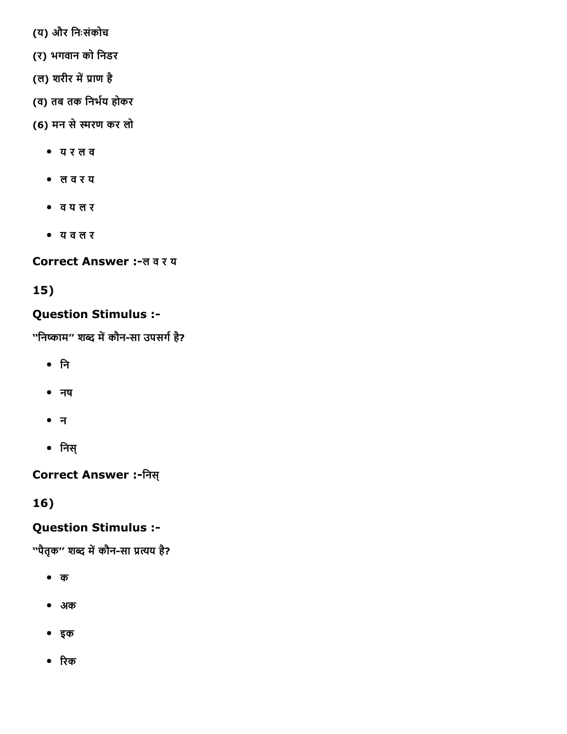- (य) और िनःसंकोच
- (र) भगवान को िनडर
- (ल) शरीर में प्राण है
- (व) तब तक निर्भय होकर
- (6) मन सेפּरण कर लो
	- य र ल व
	- ल व र य
	- व य ल र
	- य व ल र

Correct Answer :-ल व र य

## 15)

## Question Stimulus :

''निष्काम'' शब्द में कौन-सा उपसर्ग है?

- िन
- नष
- न
- िनस्

Correct Answer :िनस्

16)

## Question Stimulus :

''पैतृक'' शब्द में कौन-सा प्रत्यय है?

- क
- अक
- इक
- रिक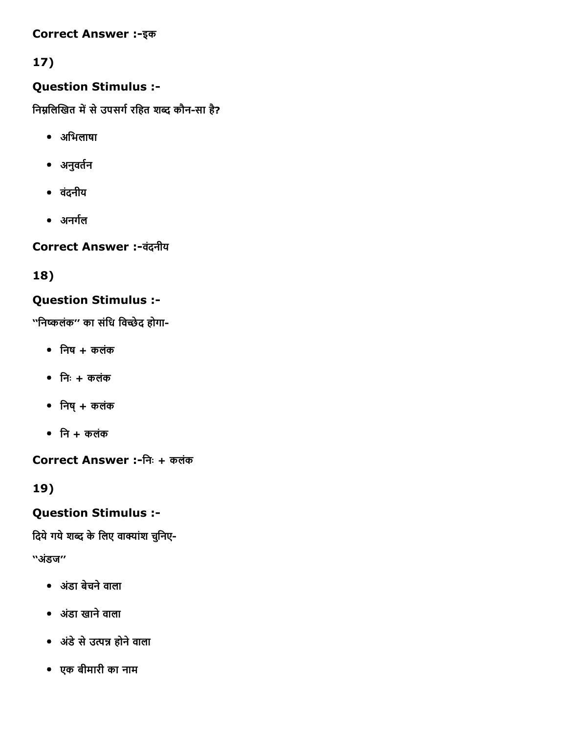#### Correct Answer :-इक

## 17)

#### Question Stimulus :

निम्नलिखित में से उपसर्ग रहित शब्द कौन-सा है?

- अिभलाषा
- अनुवर्तन
- वदंनीय
- अनर्गल

Correct Answer :-वंदनीय

18)

### Question Stimulus :

''निष्कलंक'' का संधि विच्छेद होगा-

- $\bullet$  निष $+$  कलंक
- $\bullet$  निः + कलंक
- $\bullet$  निषु + कलंक
- $\bullet$  नि + कलंक

Correct Answer :िनः + कलंक

19)

#### Question Stimulus :

दिये गये शब्द के लिए वाक्यांश चुनिए-

''अडंज''

- अडंा बेचनेवाला
- अडंा खानेवाला
- अडंेसेउ̈Ό होनेवाला
- एक बीमारी का नाम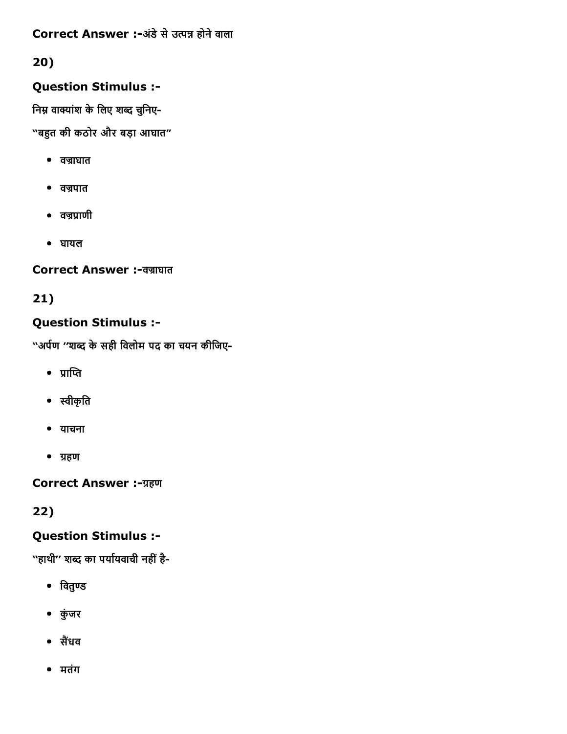Correct Answer :-अंडे से उत्पन्न होने वाला

## 20)

### Question Stimulus :

निम्न वाक्यांश के लिए शब्द चुनिए-

"बîत की कठोर और बड़ा आघात"

- $\bullet$  वज्राघात
- वज्रपात
- $\bullet$  वज्रप्राणी
- घायल

### Correct Answer :-वज्राघात

21)

### Question Stimulus :

''अर्पण ''शब्द के सही विलोम पद का चयन कीजिए-

- $\bullet$  प्राप्ति
- תּीकृित
- याचना
- ग्रहण

Correct Answer :-ग्रहण

22)

## Question Stimulus :

''हाथी'' शब्द का पर्यायवाची नहीं है-

- $\bullet$  वितुण्ड
- कंुजर
- सैंधव
- मतंग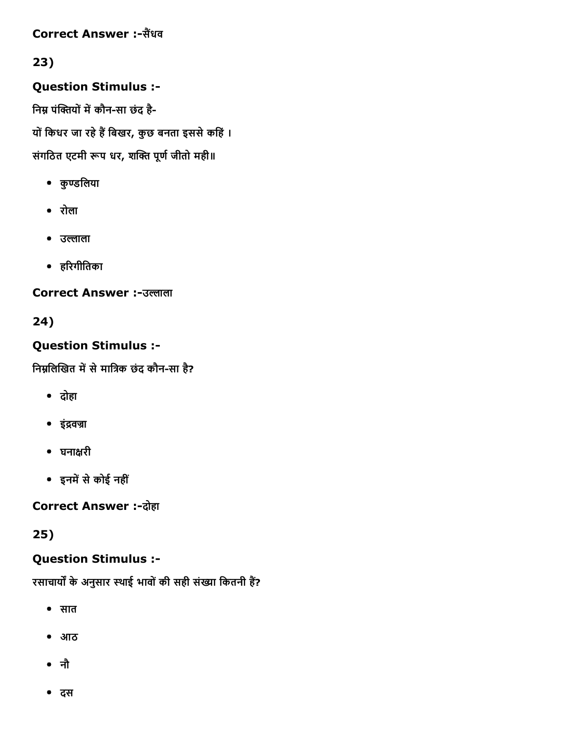#### Correct Answer :-सैंधव

## 23)

Question Stimulus :

निम्न पंक्तियों में कौन-सा छंद है-यों किधर जा रहे हैं बिखर, कुछ बनता इससे कहिं। संगठित एटमी रूप धर, शक्ति पूर्ण जीतो मही॥

- कुण्डलिया
- रोला
- उल्लाला
- हδरगीितका

**Correct Answer :-उल्लाला** 

24)

### Question Stimulus :

निम्नलिखित में से मात्रिक छंद कौन-सा है?

- दोहा
- इंद्रवज्रा
- घनाāरी
- इनमें से कोई नहीं

**Correct Answer :- दोहा** 

25)

## Question Stimulus :

रसाचार्यों के अनुसार स्थाई भावों की सही संख्या कितनी हैं?

- सात
- आठ
- नौ
- दस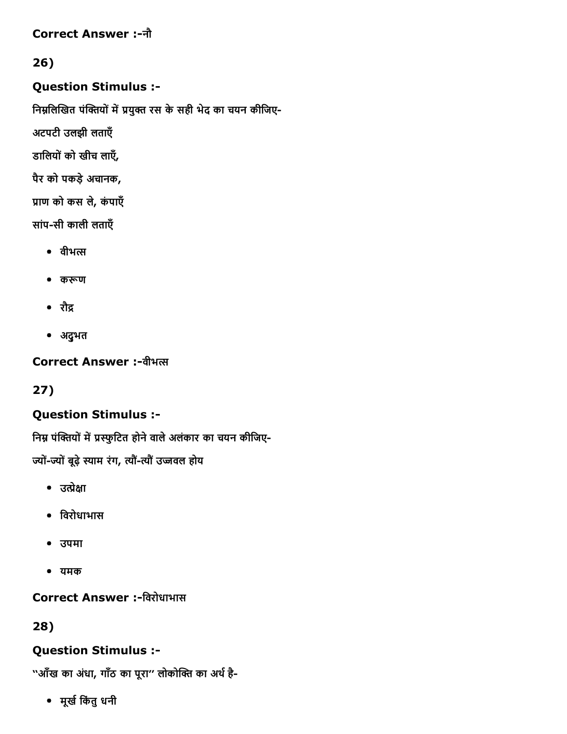#### Correct Answer :नौ

### 26)

#### Question Stimulus :

निम्नलिखित पंक्तियों में प्रयुक्त रस के सही भेद का चयन कीजिए-

अटपटी उलझी लताएँ

डालियों को खीच लाएँ,

पैर को पकड़ेअचानक,

प्राण को कस ले, कंपाएँ

सांप-सी काली लताएँ

- $\bullet$  वीभत्स
- करूण
- रौद्र
- अद्ुभत

**Correct Answer :-वीभल** 

27)

### Question Stimulus :

निम्न पंक्तियों में प्रस्फुटित होने वाले अलंकार का चयन कीजिए-

ज्यों-ज्यों बूढ़े स्याम रंग, त्यौं-त्यौं उज्जवल होय

- $\bullet$  उत्प्रेक्षा
- िवरोधाभास
- उपमा
- यमक

### Correct Answer :-विरोधाभास

28)

### Question Stimulus :

''आँख का अंधा, गाँठ का पूरा'' लोकोक्ति का अर्थ है-

मूख└िकंतुधनी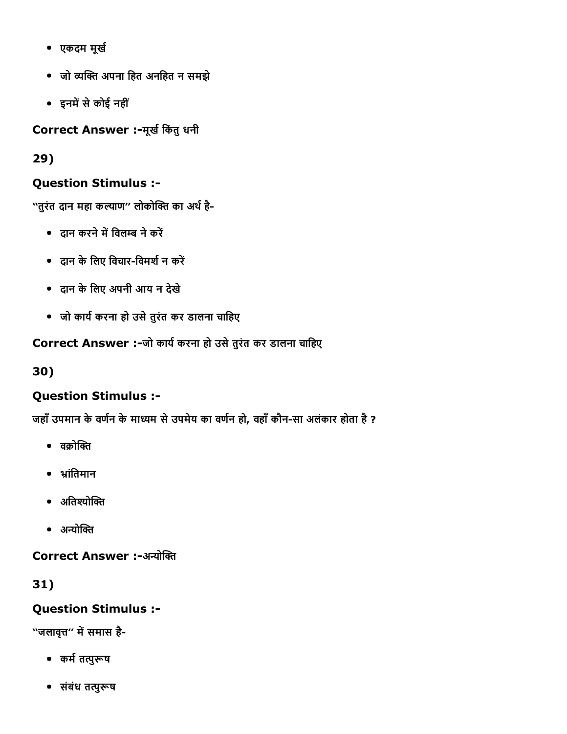- एकदम मूर्ख
- जो व्यक्ति अपना हित अनहित न समझे
- इनमें से कोई नहीं

Correct Answer :-मूर्ख किंतु धनी

29)

### Question Stimulus :

''तुरंत दान महा कल्याण'' लोकोक्ति का अर्थ है-

- दान करने में विलम्ब ने करें
- दान के लिए विचार-विमर्श न करें
- दान केिलए अपनी आय न देखे
- जो काय└करना हो उसेतुरंत कर डालना चािहए

Correct Answer :-जो कार्य करना हो उसे तुरंत कर डालना चाहिए

30)

### Question Stimulus :

जहाँ उपमान के वर्णन के माध्यम से उपमेय का वर्णन हो, वहाँ कौन-सा अलंकार होता है ?

- $\bullet$  aक्रोक्ति
- भ्रांतिमान
- अतिश्योक्ति
- $\bullet$  अन्योक्ति

Correct Answer :-अन्योक्ति

31)

### Question Stimulus :

''जलावृत्त'' में समास है-

- कर्म तत्पुरूष
- संबंध तत्पुरूष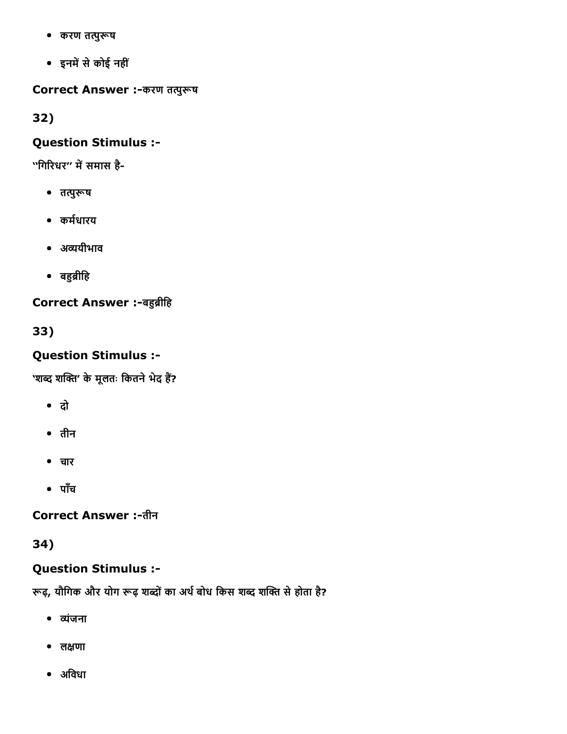- करण तत्पुरूष
- इनमें से कोई नहीं

Correct Answer :-करण तत्पुरूष

32)

#### Question Stimulus :

''गिरिधर'' में समास है-

- तत्पुरूष
- कर्मधारय
- अव्ययीभाव
- बहुब्रीहि

Correct Answer :-बहुब्रीहि

33)

### Question Stimulus :

'शब्द शक्ति' के मूलतः कितने भेद हैं?

- दो
- तीन
- चार
- पाँच

Correct Answer :-तीन

34)

### Question Stimulus :

रूढ़, यौगिक और योग रूढ़ शब्दों का अर्थ बोध किस शब्द शक्ति से होता है?

- व्यंजना
- लāणा
- अिवधा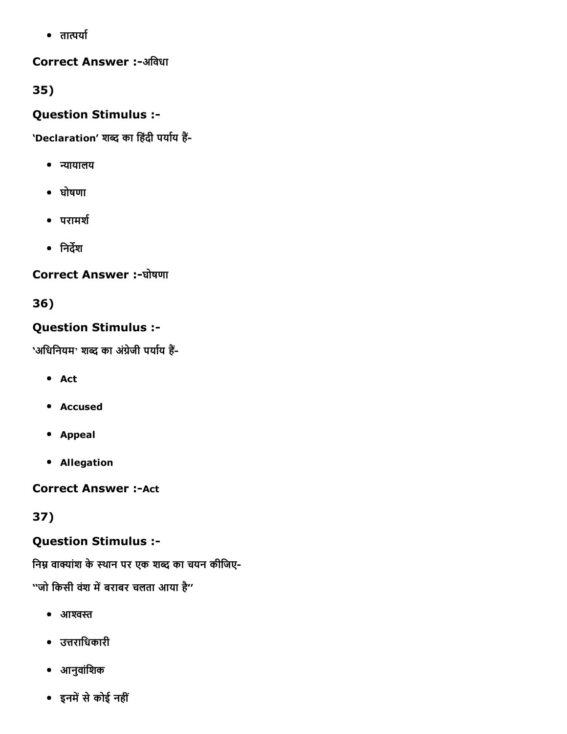$\bullet$  तात्पर्या

#### Correct Answer :-अविधा

35)

#### Question Stimulus :

'Declaration' शब्द का हिंदी पर्याय हैं-

- न्यायालय
- घोषणा
- परामर्श
- िनदĝश

### Correct Answer :-घोषणा

36)

### Question Stimulus :

'अधिनियम' शब्द का अंग्रेजी पर्याय हैं-

- Act
- Accused
- Appeal
- Allegation

**Correct Answer :- Act** 

37)

### Question Stimulus :

निम्न वाक्यांश के स्थान पर एक शब्द का चयन कीजिए-

''जो किसी वंश में बराबर चलता आया है''

- $\bullet$  आश्वस्त
- उ̃रािधकारी
- आनुवांिशक
- इनमें से कोई नहीं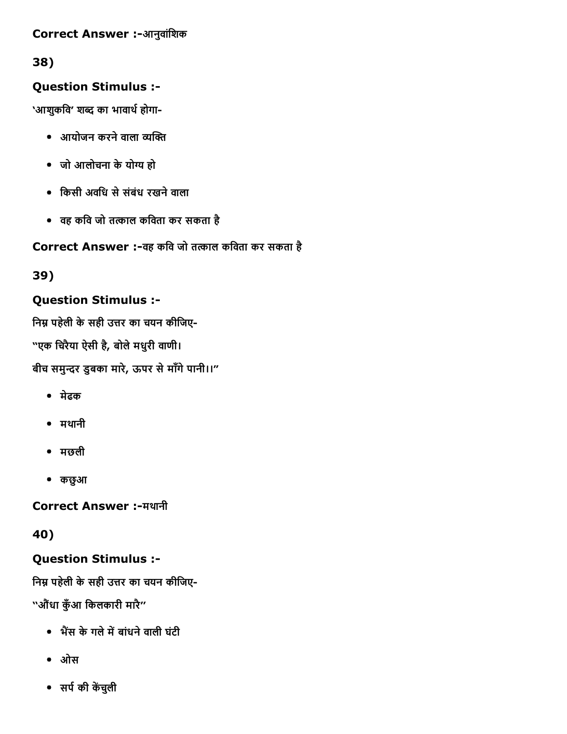#### Correct Answer :-आनुवांशिक

38)

### Question Stimulus :

'आशुकवि' शब्द का भावार्थ होगा-

- $\bullet$  आयोजन करने वाला व्यक्ति
- जो आलोचना केयोù हो
- िकसी अविध सेसंबंध रखनेवाला
- $\bullet$  वह कवि जो तत्काल कविता कर सकता है

### Correct Answer :-वह कवि जो तत्काल कविता कर सकता है

39)

### Question Stimulus :

निम्न पहेली के सही उत्तर का चयन कीजिए-"एक चिरैया ऐसी है, बोले मधुरी वाणी। बीच समुन्दर डुबका मारे, ऊपर से माँगे पानी।।"

- मेढक
- मथानी
- मछली
- कछुआ

Correct Answer :मथानी

40)

#### Question Stimulus :

निम्न पहेली के सही उत्तर का चयन कीजिए-

''औधंा कँुआ िकलकारी मारै''

- भैंस के गले में बांधने वाली घंटी
- ओस
- सर्प की केंचुली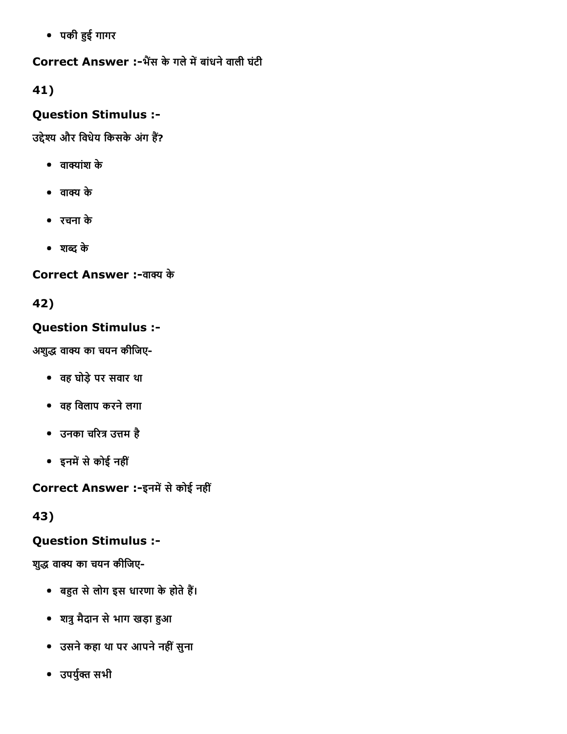पकी îई गागर

Correct Answer :-भैंस के गले में बांधने वाली घंटी

41)

### Question Stimulus :

उद्देश्य और विधेय किसके अंग हैं?

- $\bullet$  वाक्यांश के
- वाक्य के
- रचना के
- शсद के

Correct Answer :-वाक्य के

42)

### Question Stimulus :

अशुद्ध वाक्य का चयन कीजिए-

- वह घोड़ेपर सवार था
- वह िवलाप करनेलगा
- उनका चरित्र उत्तम है
- इनमें से कोई नहीं

Correct Answer :-इनमें से कोई नहीं

43)

## Question Stimulus :

शुद्ध वाक्य का चयन कीजिए-

- बहुत से लोग इस धारणा के होते हैं।
- शत्रु मैदान से भाग खड़ा हुआ
- उसनेकहा था पर आपनेनहींसुना
- उपर्युक्त सभी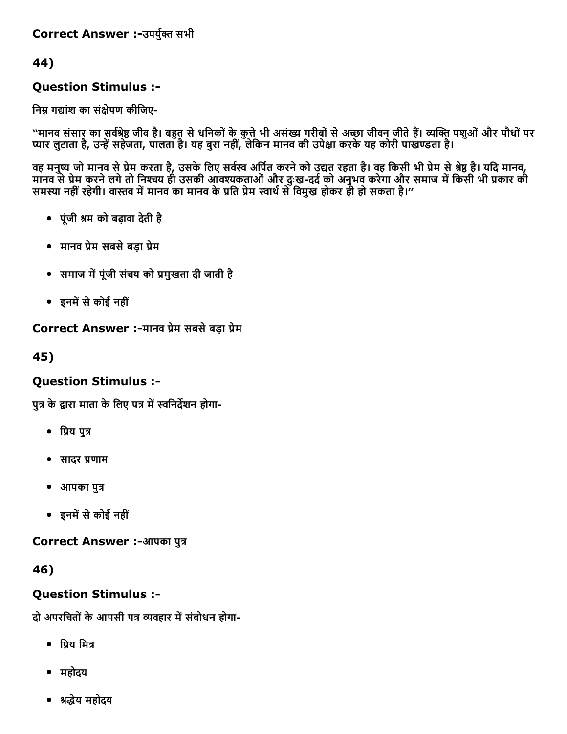#### Correct Answer :-उपर्युक्त सभी

44)

#### Question Stimulus :

निम्न गद्यांश का संक्षेपण कीजिए-

''मानव संसार का सर्वश्रेष्ठ जीव है। बहुत से धनिकों के कुत्ते भी असंख्य गरीबों से अच्छा जीवन जीते हैं। व्यक्ति पशुओं और पौधों पर प्यार लुटाता है, उन्हें सहेजता, पालता है। यह बुरा नहीं, लेकिन मानव की उपेक्षा करके यह कोरी पाखण्डता है।

वह मनुष्य जो मानव से प्रेम करता है, उसके लिए सर्वस्व अपित करने को उद्यत रहता है। वह किसी भी प्रेम से श्रेष्ठ है। यदि मानव, मानव से प्रेम करने लगे तो निश्चय ही उसकी आवश्यकताओं और दुःख-दर्द को अनुभव करेगा और समाज में किसी भी प्रकार की समस्या नहीं रहेगी। वास्तव में मानव का मानव के प्रति प्रेम स्वार्थ से विमुख होकर ही हो सकता है।''

- पूंजी mम को बढ़ावा देती है
- मानव प्रेम सबसे बड़ा प्रेम
- समाज में पूंजी संचय को प्रमुखता दी जाती है
- इनमें से कोई नहीं

Correct Answer :-मानव प्रेम सबसे बड़ा प्रेम

45)

#### Question Stimulus :

पुत्र के द्वारा माता के लिए पत्र में स्वनिर्देशन होगा-

- प्रिय पुत्र
- सादर प्रणाम
- आपका पुत्र
- इनमें से कोई नहीं

Correct Answer :-आपका पुत्र

46)

#### Question Stimulus :

दो अपरचितों के आपसी पत्र व्यवहार में संबोधन होगा-

- $\bullet$  पिय मित्र
- महोदय
- mοेय महोदय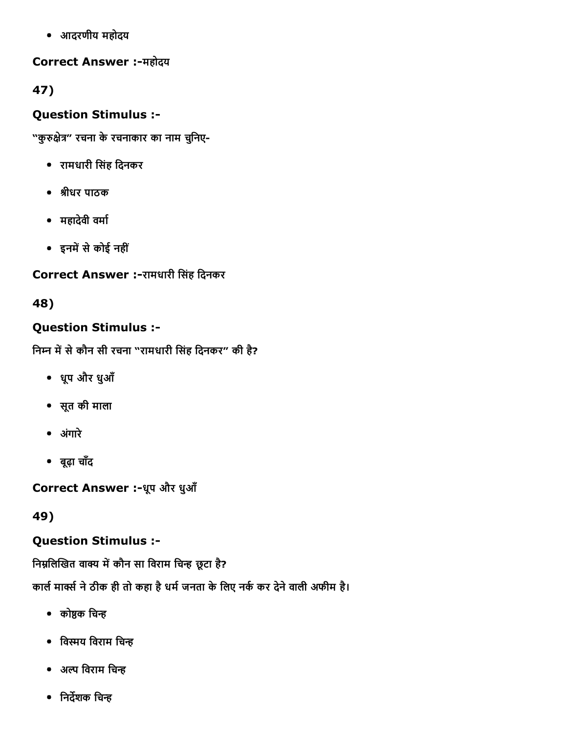आदरणीय महोदय

#### Correct Answer :-महोदय

47)

### Question Stimulus :

"कुरुक्षेत्र" रचना के रचनाकार का नाम चुनिए-

- रामधारी िसंह िदनकर
- mीधर पाठक
- महादेवी वमा└
- इनमें से कोई नहीं

### Correct Answer :-रामधारी सिंह दिनकर

### 48)

### Question Stimulus :

निम्न में से कौन सी रचना "रामधारी सिंह दिनकर" की है?

- धूप और धुआँ
- सूत की माला
- अगंारे
- बूढ़ा चाँद

Correct Answer :-धूप और धुआँ

49)

### Question Stimulus :

निम्नलिखित वाक्य में कौन सा विराम चिन्ह छूटा है?

कार्ल मार्क्स ने ठीक ही तो कहा है धर्म जनता के लिए नर्क कर देने वाली अफीम है।

- $\bullet$  कोष्ठक चिन्ह
- विस्मय विराम चिन्ह
- $\bullet$  अल्प विराम चिन्ह
- $\bullet$  निर्देशक चिन्ह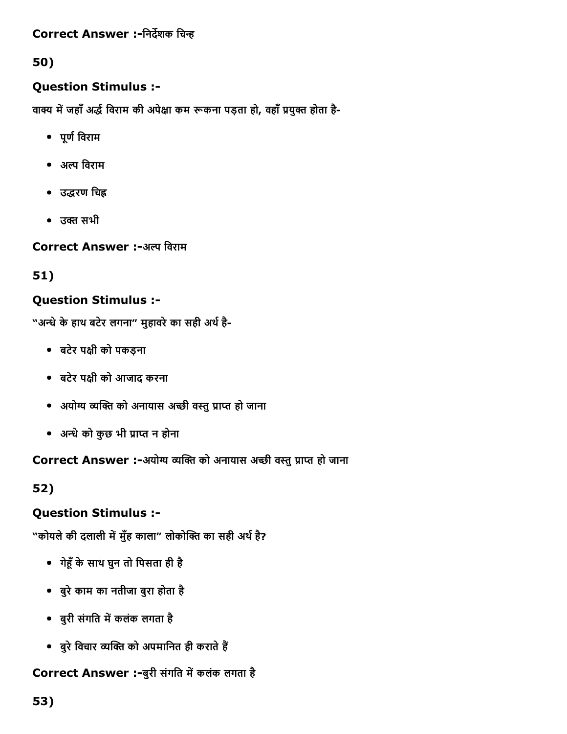#### Correct Answer :-निर्देशक चिन्ह

### 50)

#### Question Stimulus :

वाक्य में जहाँ अर्द्ध विराम की अपेक्षा कम रूकना पड़ता हो, वहाँ प्रयुक्त होता है-

- पूण└िवराम
- अल्प विराम
- उद्धरण चिह्न
- $\bullet$  उक्त सभी

Correct Answer :-अल्प विराम

51)

### Question Stimulus :

"अन्धे के हाथ बटेर लगना" मुहावरे का सही अर्थ है-

- बटेर पāी को पकड़ना
- बटेर पāी को आजाद करना
- अयोग्य व्यक्ति को अनायास अच्छी वस्तु प्राप्त हो जाना
- अन्धे को कुछ भी प्राप्त न होना

Correct Answer :-अयोग्य व्यक्ति को अनायास अच्छी वस्तु प्राप्त हो जाना

52)

#### Question Stimulus :

"कोयले की दलाली में मुँह काला" लोकोक्ति का सही अर्थ है?

- गेĩँकेसाथ घुन तो िपसता ही है
- बुरेकाम का नतीजा बुरा होता है
- बुरी संगति में कलंक लगता है
- बुरे विचार व्यक्ति को अपमानित ही कराते हैं

#### Correct Answer :-बुरी संगति में कलंक लगता है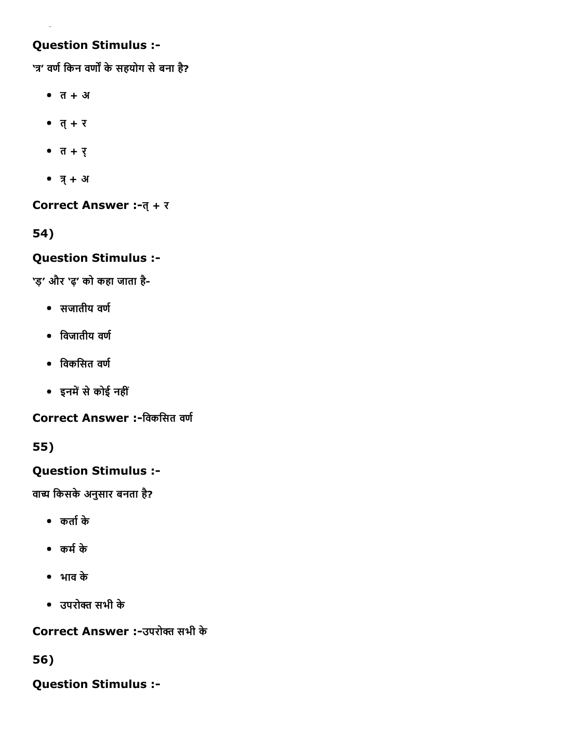## Question Stimulus :

'त्र' वर्ण किन वर्णों के सहयोग से बना है?

- $\bullet$   $\overline{a}$  +  $\overline{3}$
- $\bullet$   $\overline{q} + \overline{v}$
- त $+$  र्
- $\bullet$   $\overline{q}$  + अ

Correct Answer :-त् + र

54)

### Question Stimulus :

'ड़' और 'ढ़' को कहा जाता है

- $\bullet$  सजातीय वर्ण
- $\bullet$  विजातीय वर्ण
- $\bullet$  विकसित वर्ण
- इनमें से कोई नहीं

Correct Answer :-विकसित वर्ण

55)

## Question Stimulus :

वाच्य किसके अनुसार बनता है?

- कता└के
- कम└के
- भाव के
- उपरोő सभी के

Correct Answer :-उपरोक्त सभी के

56)

Question Stimulus :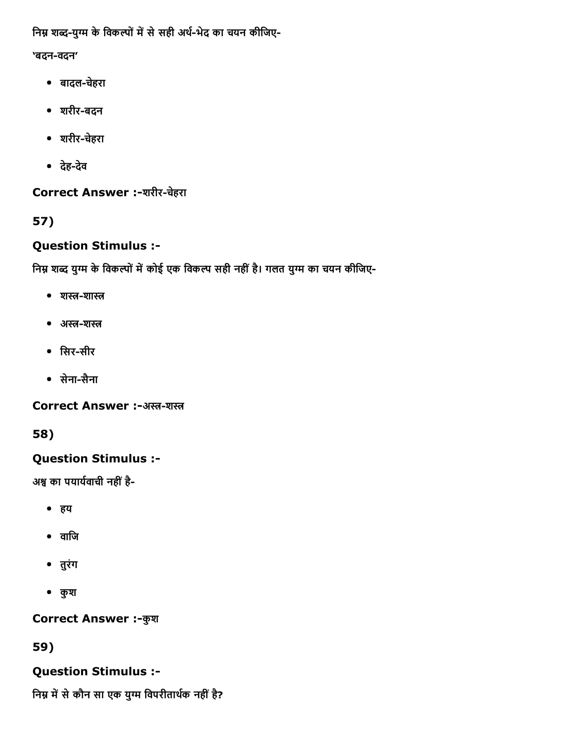निम्न शब्द-युग्म के विकल्पों में से सही अर्थ-भेद का चयन कीजिए-

### 'बदन-वदन'

- बादलचहेरा
- शरीर-बदन
- शरीरचहेरा
- देहदेव

Correct Answer :-शरीर-चेहरा

57)

# Question Stimulus :

निम्न शब्द युग्म के विकल्पों में कोई एक विकल्प सही नहीं है। गलत युग्म का चयन कीजिए-

- $\bullet$  शस्त-शास्त
- अस्त-शस्त
- सिर-सीर
- सेना-सैना

Correct Answer :-अस्त-शस्त

58)

Question Stimulus :

अश्व का पयार्यवाची नहीं है-

- हय
- वािज
- तुरंग
- कुश

**Correct Answer :- कुश** 

59)

# Question Stimulus :

निम्न में से कौन सा एक युग्म विपरीतार्थक नहीं है?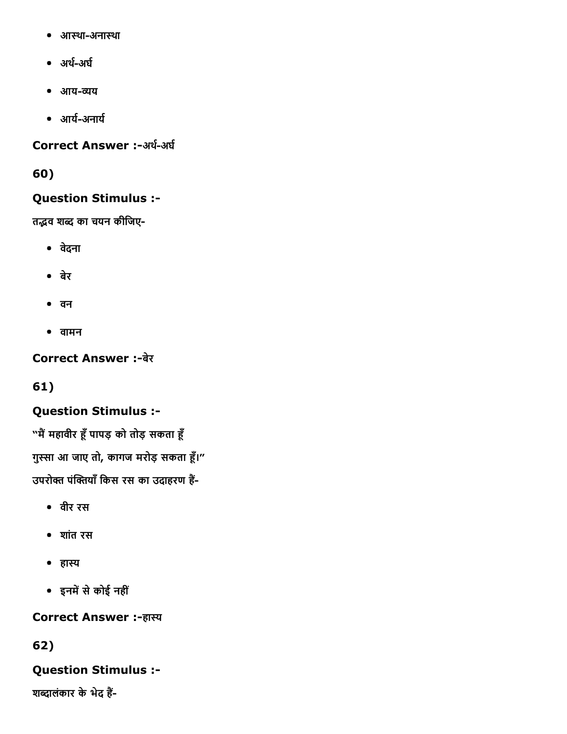- आस्था-अनास्था
- अर्थ-अर्घ
- आय-व्यय
- आर्य-अनार्य

## Correct Answer :-अर्थ-अर्घ

60)

## Question Stimulus :

तद्भव शब्द का चयन कीजिए-

- वदेना
- बेर
- वन
- वामन

## **Correct Answer :-बेर**

# 61)

## Question Stimulus :

"मैं महावीर हूँ पापड़ को तोड़ सकता हूँ गुस्सा आ जाए तो, कागज मरोड़ सकता हूँ।" उपरोक्त पंक्तियाँ किस रस का उदाहरण हैं-

- वीर रस
- शांत रस
- हास्य
- इनमें से कोई नहीं

## **Correct Answer :-हास्य**

# 62)

## Question Stimulus :

शब्दालंकार के भेद हैं-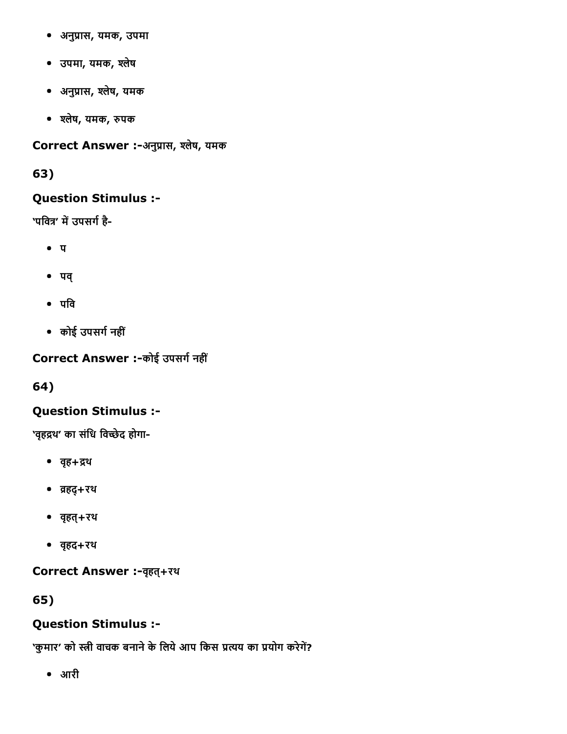- अनुप्रास, यमक, उपमा
- उपमा, यमक, ъलेष
- अनुप्रास, श्लेष, यमक
- ъलेष, यमक, ħपक

Correct Answer :-अनुप्रास, श्लेष, यमक

63)

## Question Stimulus :

'पवित्र' में उपसर्ग है-

- $\bullet$   $\pi$
- पव्
- $\bullet$  पवि
- कोई उपसग└नहीं

Correct Answer :-कोई उपसर्ग नहीं

64)

## Question Stimulus :

'वृहद्रथ' का संधि विच्छेद होगा-

- वहृ+ĵथ
- ŀहद्+रथ
- वहृत्+रथ
- वहृद+रथ

Correct Answer :वहृत्+रथ

65)

# Question Stimulus :

'कुमार' को स्त्री वाचक बनाने के लिये आप किस प्रत्यय का प्रयोग करेगें?

आरी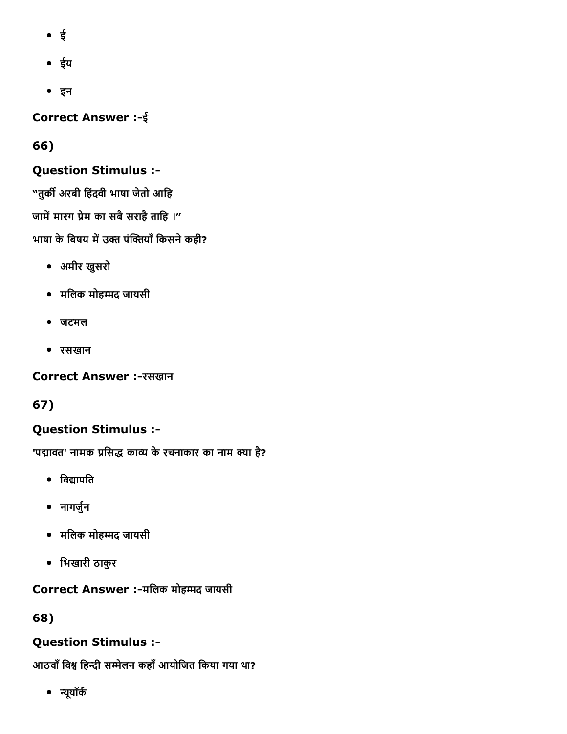- ई
- ईय
- इन

Correct Answer :ई

# 66)

# Question Stimulus :

"तुर्की अरबी हिंदवी भाषा जेतो आहि जामें मारग प्रेम का सबै सराहै ताहि ।" भाषा के बिषय में उक्त पंक्तियाँ किसने कही?

- अमीर खुसरो
- मिलक मोहκद जायसी
- जटमल
- रसखान

## Correct Answer :-रसखान

# 67)

# Question Stimulus :

'पद्मावत' नामक प्रसिद्ध काव्य के रचनाकार का नाम क्या है?

- विद्यापति
- नागर्जुन
- मिलक मोहκद जायसी
- िभखारी ठाकुर

# Correct Answer :-मलिक मोहम्मद जायसी

# 68)

# Question Stimulus :

आठवाँ विश्व हिन्दी सम्मेलन कहाँ आयोजित किया गया था?

• न्यूयॉर्क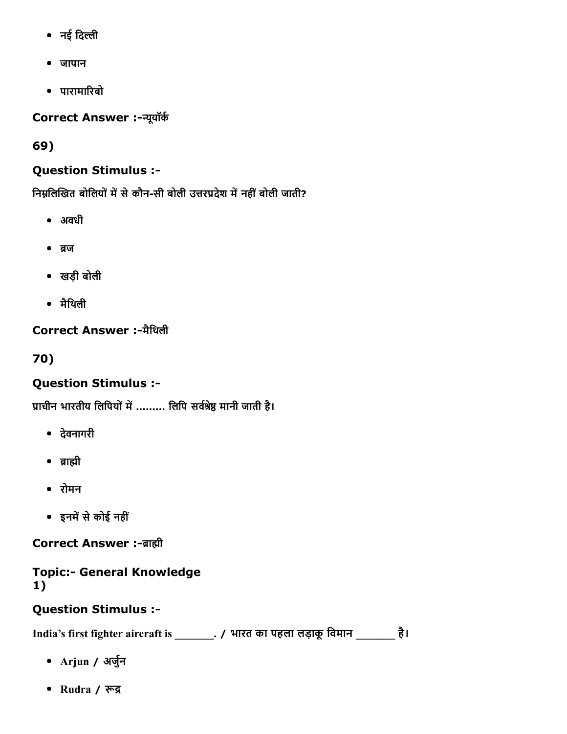- नई दिल्ली
- जापान
- पारामाδरबो

Correct Answer :-न्यूयॉर्क

69)

# Question Stimulus :

निम्नलिखित बोलियों में से कौन-सी बोली उत्तरप्रदेश में नहीं बोली जाती?

- अवधी
- ब्रज
- खड़ी बोली
- मैिथली

# Correct Answer :-मैथिली

70)

# Question Stimulus :

प्राचीन भारतीय लिपियों में ……… लिपि सर्वश्रेष्ठ मानी जाती है।

- देवनागरी
- ब्राह्मी
- रोमन
- इनमें से कोई नहीं

**Correct Answer :-ब्राह्मी** 

**Topic:- General Knowledge** 1)

## Question Stimulus :

India's first fighter aircraft is \_\_\_\_\_\_\_\_. / भारत का पहला लड़ाकू विमान \_\_\_\_\_\_\_ है।

- Arjun / अर्जुन
- Rudra / रूद्र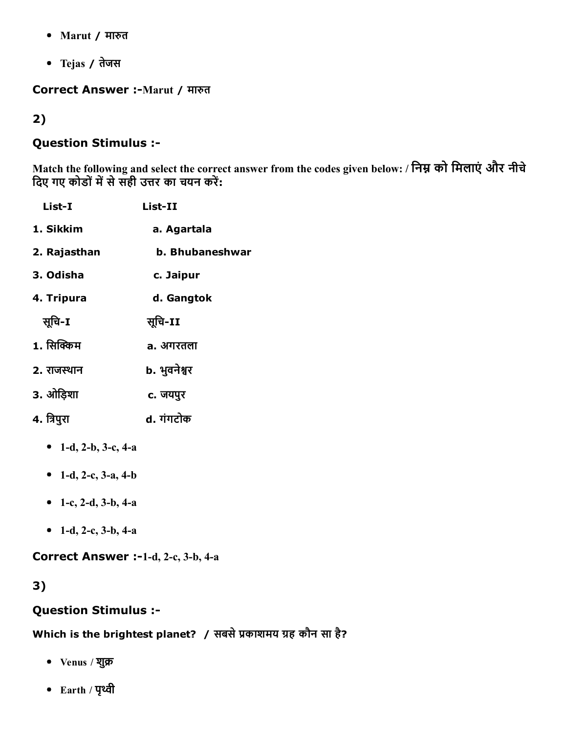- Marut / मारुत
- Tejas / तेजस

### Correct Answer :- Marut / मारुत

### 2)

### Question Stimulus :

Match the following and select the correct answer from the codes given below: / निम्न को मिलाएं और नीचे दिए गए कोडों में से सही उत्तर का चयन करें:

- List-I List-II 1. Sikkim a. Agartala 2. Rajasthan b. Bhubaneshwar 3. Odisha c. Jaipur 4. Tripura d. Gangtok सूचि-I सूचि-II 1. सिक्किम a. अगरतला 2. राजस्थान b. भुवनेश्वर 3. ओिड़शा c. जयपुर 4. िjपुरा d. गंगटोक • 1-d, 2-b, 3-c, 4-a
	- 1-d, 2-c, 3-a, 4-b
	- 1-c, 2-d, 3-b, 4-a
	- 1-d, 2-c, 3-b, 4-a

Correct Answer :-1-d, 2-c, 3-b, 4-a

## 3)

### Question Stimulus :

Which is the brightest planet? / सबसे प्रकाशमय ग्रह कौन सा है?

- Venus / शुक्र
- Earth / पृκी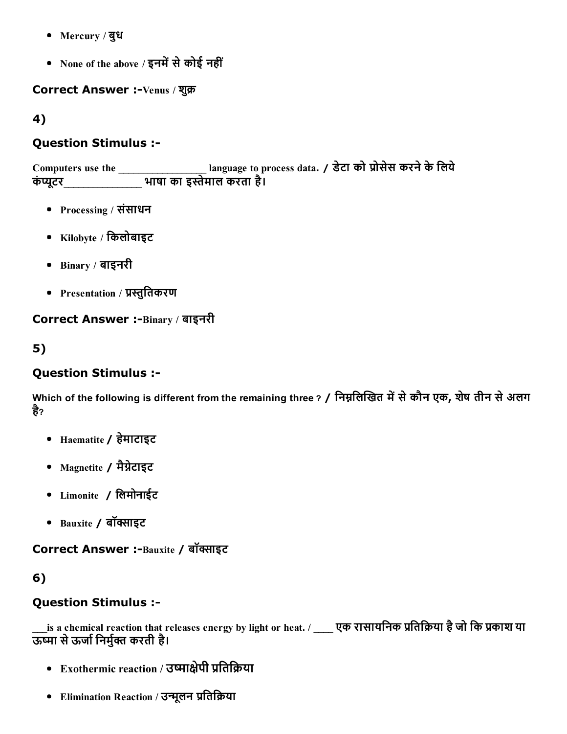- Mercury / बुध
- None of the above / इनमें से कोई नहीं

Correct Answer :-Venus / शुक्र

4)

### Question Stimulus :

Computers use the \_\_\_\_\_\_\_\_\_\_\_\_\_\_\_\_\_\_ language to process data. / डेटा को ĸोसेस करनेकेिलये कंप्यूटर\_\_\_\_\_\_\_\_\_\_\_\_\_\_ भाषा का इस्तेमाल करता है।

- Processing / संसाधन
- $\bullet$  Kilobyte / किलोबाइट
- Binary / बाइनरी
- Presentation / प्रस्तुतिकरण

## Correct Answer :-Binary / बाइनरी

## 5)

## Question Stimulus :

Which of the following is different from the remaining three ? / निम्नलिखित में से कौन एक, शेष तीन से अलग है?

- Haematite / हेमाटाइट
- Magnetite / मैग्नेटाइट
- Limonite / िलमोनाईट
- $\bullet$  Bauxite / बॉक्साइट

### Correct Answer :-Bauxite / बॉक्साइट

## 6)

## Question Stimulus :

 $\_$ is a chemical reaction that releases energy by light or heat. /  $\_\_\_\$ एक रासायनिक प्रतिक्रिया है जो कि प्रकाश या ऊष्मा से ऊर्जा निर्मुक्त करती है।

- Exothermic reaction / उष्माक्षेपी प्रतिक्रिया
- Elimination Reaction / उन्मूलन प्रतिक्रिया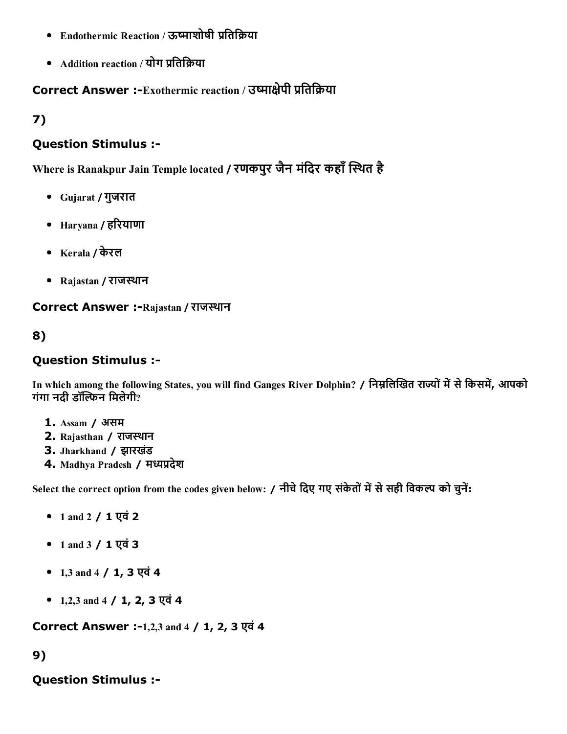- Endothermic Reaction / ऊष्माशोषी प्रतिक्रिया
- Addition reaction / योग प्रतिक्रिया

# Correct Answer :-Exothermic reaction / उष्माक्षेपी प्रतिक्रिया

7)

### Question Stimulus :

Where is Ranakpur Jain Temple located / रणकपुर जैन मंदिर कहाँ स्थित है

- Gujarat / गुजरात
- Haryana / हδरयाणा
- Kerala / केरल
- Rajastan / राजस्थान

### Correct Answer :-Rajastan / राजस्थान

## 8)

### Question Stimulus :

In which among the following States, you will find Ganges River Dolphin? / निम्नलिखित राज्यों में से किसमें, आपको गंगा नदी डॉल्फिन मिलेगी?

- 1. Assam / असम
- 2. Rajasthan / राजस्थान
- 3. Jharkhand / झारखडं
- 4. Madhya Pradesh / मध्यप्रदेश

Select the correct option from the codes given below: / नीचे दिए गए संकेतों में से सही विकल्प को चुनें:

- 1 and 2  $/$  1 एवं 2
- 1 and 3 / 1 एवं 3
- 1,3 and 4 / 1, 3 एवं 4
- 1,2,3 and 4  $/$  1, 2, 3 एवं 4

Correct Answer :-1,2,3 and 4 / 1, 2, 3 एवं 4

## 9)

## Question Stimulus :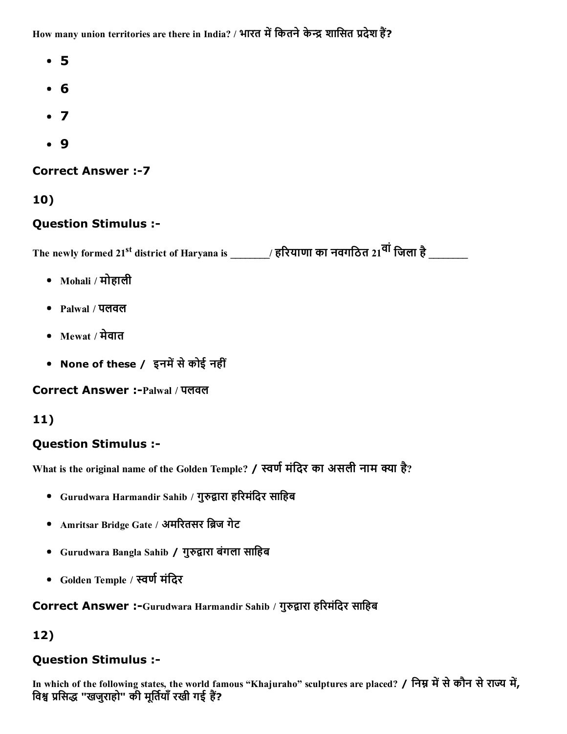How many union territories are there in India? / भारत में कितने केन्द्र शासित प्रदेश हैं?

- 5
- 6
- $\bullet$  7
- 9

**Correct Answer :- 7** 

10)

## Question Stimulus :

The newly formed 21<sup>st</sup> district of Haryana is \_\_\_\_\_\_\_/ हरियाणा का नवगठित 21<sup>वा</sup> जिला है \_\_\_\_\_\_\_

- Mohali / मोहाली
- Palwal / पलवल
- Mewat / मेवात
- None of these / इनमें से कोई नहीं

Correct Answer :Palwal / पलवल

## 11)

## Question Stimulus :

What is the original name of the Golden Temple? / स्वर्ण मंदिर का असली नाम क्या है?

- Gurudwara Harmandir Sahib / गुरुद्वारा हरिमंदिर साहिब
- Amritsar Bridge Gate / अमरितसर ब्रिज गेट
- Gurudwara Bangla Sahib / गुरुद्वारा बंगला साहिब
- Golden Temple / स्वर्ण मंदिर

Correct Answer :-Gurudwara Harmandir Sahib / गुरुद्वारा हरिमंदिर साहिब

## 12)

## Question Stimulus :

In which of the following states, the world famous "Khajuraho" sculptures are placed? / निम्न में से कौन से राज्य में, विश्व प्रसिद्ध "खजुराहो" की मूर्तियाँ रखी गई हैं?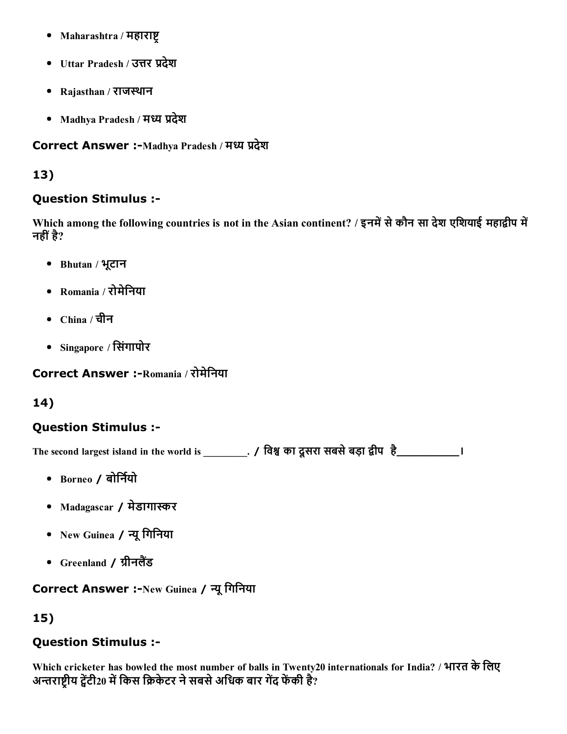- Maharashtra / महाराष्ट
- Uttar Pradesh / उत्तर प्रदेश
- Rajasthan / राजस्थान
- Madhya Pradesh / मध्य प्रदेश

Correct Answer :-Madhya Pradesh / मध्य प्रदेश

### 13)

### Question Stimulus :

Which among the following countries is not in the Asian continent? / इनमें से कौन सा देश एशियाई महाद्वीप में नहीं है?

- Bhutan / भूटान
- Romania / रोमेिनया
- China / चीन
- Singapore / िसंगापोर

Correct Answer :-Romania / रोमेनिया

## 14)

## Question Stimulus :

The second largest island in the world is \_\_\_\_\_\_\_\_\_. / विश्व का दूसरा सबसे बड़ा द्वीप है\_\_\_\_\_\_\_\_\_\_\_\_\_\_\_\_\_\_\_\_\_\_

- $\bullet$  Borneo / बोर्नियो
- Madagascar / मेडागास्कर
- New Guinea / Ύूिगिनया
- Greenland / ग्रीनलैंड

## Correct Answer :-New Guinea / न्यू गिनिया

# 15)

## Question Stimulus :

Which cricketer has bowled the most number of balls in Twenty20 internationals for India? / भारत के लिए अन्तराष्टीय ट्वेंटी20 में किस क्रिकेटर ने सबसे अधिक बार गेंद फेंकी है?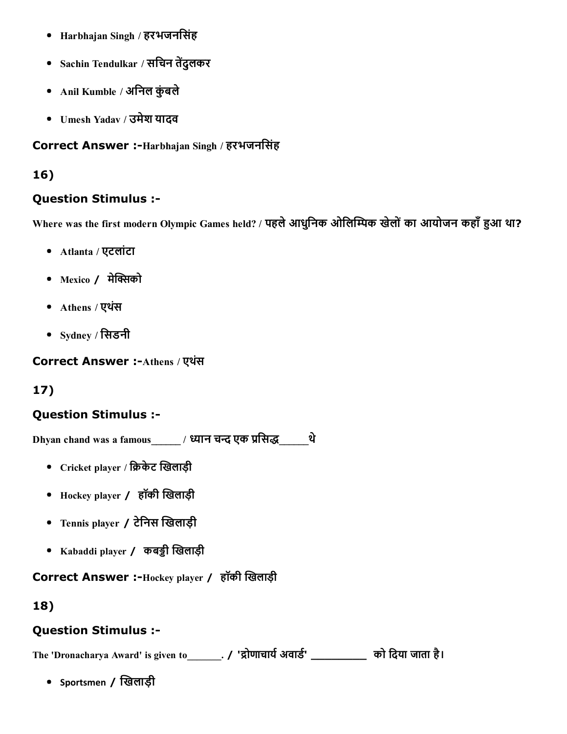- Harbhajan Singh / हरभजनिसंह
- Sachin Tendulkar / सचिन तेंदुलकर
- Anil Kumble / अनिल कुंबले
- Umesh Yadav / उमेश यादव

### Correct Answer :-Harbhajan Singh / हरभजनसिंह

## 16)

### Question Stimulus :

Where was the first modern Olympic Games held? / पहले आधुनिक ओलिम्पिक खेलों का आयोजन कहाँ हुआ था?

- Atlanta / एटलांटा
- $\bullet$  Mexico / मेक्सिको
- Athens / एथसं
- $\bullet$  Sydney / सिडनी

Correct Answer :- Athens / एथंस

# 17)

## Question Stimulus :

 $\frac{1}{2}$  Dhyan chand was a famous\_\_\_\_\_\_\_ / ध्यान चन्द एक प्रसिद्ध थे

- Cricket player / क्रिकेट खिलाड़ी
- Hockey player / हॉकी खिलाड़ी
- Tennis player / टेनिस खिलाड़ी
- Kabaddi player / कबड़ी खिलाड़ी

## Correct Answer :-Hockey player / हॉकी खिलाड़ी

## 18)

## Question Stimulus :

The 'Dronacharya Award' is given to \_\_\_\_\_\_\_. / 'द्रोणाचार्य अवार्ड' \_\_\_\_\_\_\_\_\_\_ को दिया जाता है।

• Sportsmen / खिलाड़ी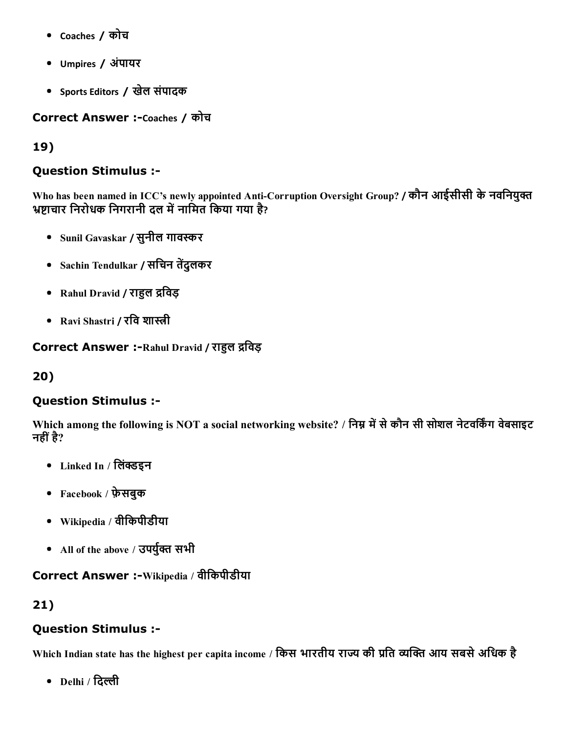- Coaches / कोच
- Umpires / अंपायर
- Sports Editors / खेल संपादक

Correct Answer :-Coaches / कोच

### 19)

### Question Stimulus :

Who has been named in ICC's newly appointed Anti-Corruption Oversight Group? / कौन आईसीसी के नवनियुक्त भ्रष्टाचार निरोधक निगरानी दल में नामित किया गया है?

- Sunil Gavaskar / सुनील गावस्कर
- Sachin Tendulkar / सचिन तेंदुलकर
- Rahul Dravid / राहुल द्रविड़
- Ravi Shastri / रवि शास्त्री

### Correct Answer :-Rahul Dravid / राहुल द्रविड़

## 20)

### Question Stimulus :

Which among the following is NOT a social networking website? / निम्न में से कौन सी सोशल नेटवर्किंग वेबसाइट नहीं है?

- Linked In / लिंक्डइन
- Facebook / फ़ेसबुक
- Wikipedia / वीिकपीडीया
- All of the above / उपर्युक्त सभी

### Correct Answer :-Wikipedia / वीकिपीडीया

## 21)

## Question Stimulus :

Which Indian state has the highest per capita income / किस भारतीय राज्य की प्रति व्यक्ति आय सबसे अधिक है

• Delhi / दिल्ली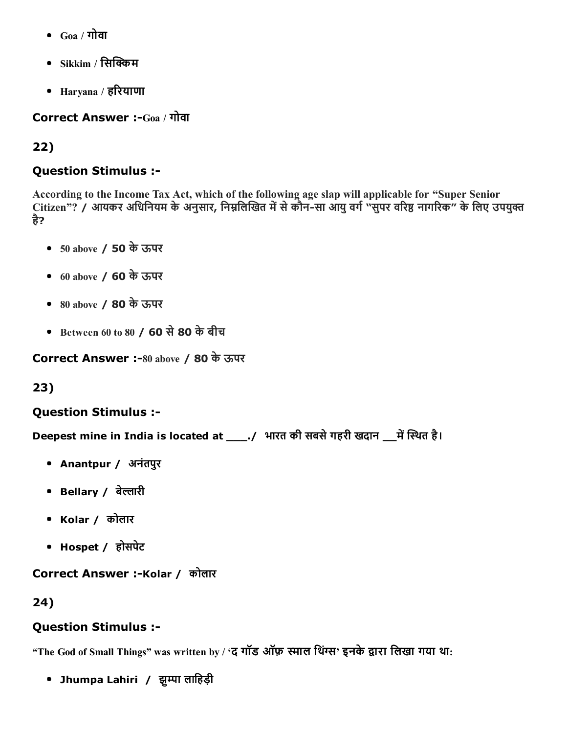- $Goa / \overline{n}$ वा
- $\,$  Sikkim / सिक्किम
- Haryana / हδरयाणा

Correct Answer :-Goa / गोवा

# 22)

## Question Stimulus :

According to the Income Tax Act, which of the following age slap will applicable for "Super Senior Citizen"? / आयकर अधिनियम के अनुसार, निम्नलिखित में से कौन-सा आयु वर्ग "सुपर वरिष्ठ नागरिक" के लिए उपयुक्त है?

- 50 above / 50 केऊपर
- 60 above / 60 केऊपर
- 80 above / 80 केऊपर
- Between 60 to 80 / 60 से 80 के बीच

Correct Answer :-80 above / 80 के ऊपर

## 23)

## Question Stimulus :

Deepest mine in India is located at \_\_\_\_./ भारत की सबसे गहरी खदान \_\_\_ में स्थित है।

- Anantpur / अनंतपुर
- Bellary / बेल्लारी
- Kolar / कोलार
- Hospet / होसपेट

Correct Answer :-Kolar / कोलार

## 24)

## Question Stimulus :

"The God of Small Things" was written by / 'द गॉड ऑफ़ स्माल थिंग्स' इनके द्वारा लिखा गया था:

• Jhumpa Lahiri / झूम्पा लाहिड़ी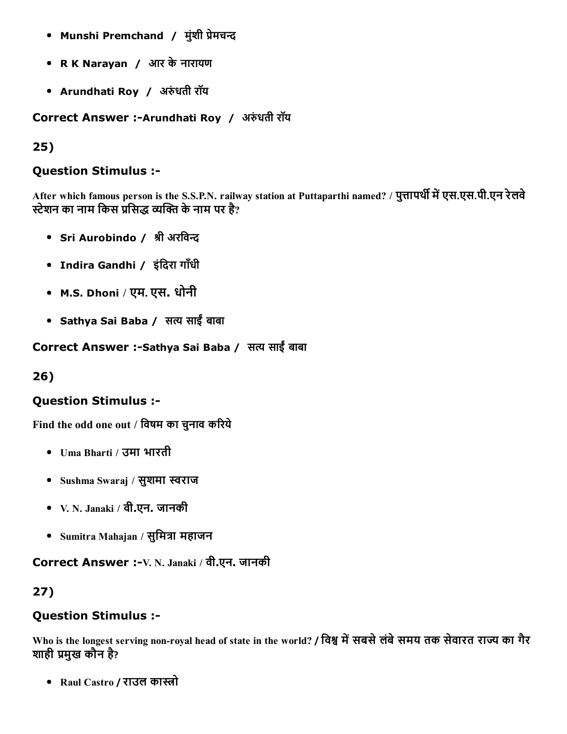- Munshi Premchand / मुंशी प्रेमचन्द
- R K Narayan / आर केनारायण
- Arundhati Roy / अरुंधती रॉय

Correct Answer :-Arundhati Roy / अरुंधती रॉय

### 25)

### Question Stimulus :

After which famous person is the S.S.P.N. railway station at Puttaparthi named? / पुत्तापर्थी में एस.एस.पी.एन रेलवे स्टेशन का नाम किस प्रसिद्ध व्यक्ति के नाम पर है?

- Sri Aurobindo / श्री अरविन्द
- Indira Gandhi / इंदिरा गाँधी
- M.S. Dhoni / एम. एस. धोनी
- Sathya Sai Baba / सत्य साईं बाबा

Correct Answer :-Sathya Sai Baba / सत्य साईं बाबा

## 26)

## Question Stimulus :

Find the odd one out / विषम का चुनाव करिये

- Uma Bharti / उमा भारती
- Sushma Swaraj / सुशमा स्वराज
- V. N. Janaki / वी.एन. जानकी
- Sumitra Mahajan / सुमित्रा महाजन

Correct Answer :-V. N. Janaki / वी.एन. जानकी

## 27)

## Question Stimulus :

Who is the longest serving non-royal head of state in the world? / विश्व में सबसे लंबे समय तक सेवारत राज्य का गैर शाही प्रमुख कौन है?

• Raul Castro / राउल कास्त्रो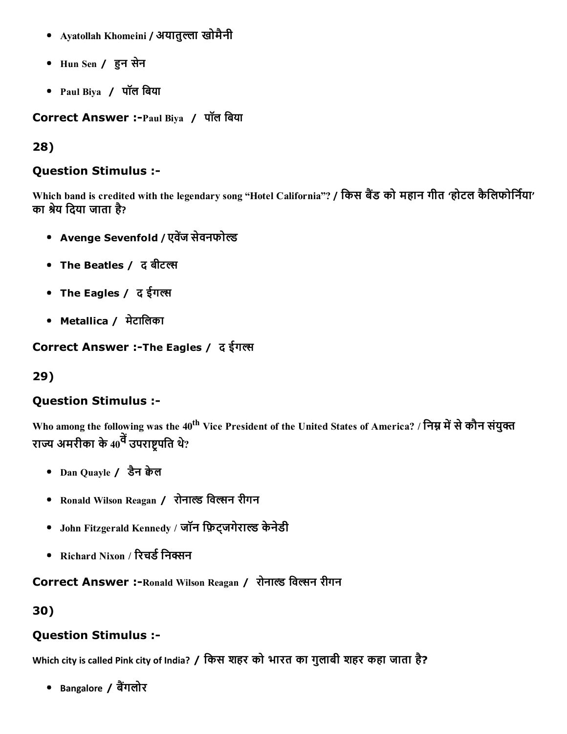- Ayatollah Khomeini / अयातुल्ला खोमैनी
- Hun Sen / îन सेन
- Paul Biya / पॉल िबया

Correct Answer :- Paul Biya / पॉल बिया

### 28)

### Question Stimulus :

Which band is credited with the legendary song "Hotel California"? / किस बैंड को महान गीत 'होटल कैलिफोर्निया' का श्रेय दिया जाता है?

- Avenge Sevenfold / एवेंज सेवनफोल्ड
- The Beatles / द बीटल्स
- The Eagles / द ईगल्स
- Metallica / मेटालिका

Correct Answer :-The Eagles / द ईगल्स

## 29)

## Question Stimulus :

Who among the following was the 40<sup>th</sup> Vice President of the United States of America? / निम्न में से कौन संयुक्त राज्य अमरीका के 40<sup>वें</sup> उपराष्ट्रपति थे?

- Dan Quayle / डैन केल
- Ronald Wilson Reagan / रोनाल्ड विल्सन रीगन
- John Fitzgerald Kennedy / जॉन फ़िट्जगेराल्ड केनेडी
- Richard Nixon / रिचर्ड निक्सन

Correct Answer :-Ronald Wilson Reagan / रोनाल्ड विल्सन रीगन

30)

## Question Stimulus :

Which city is called Pink city of India? / िकस शहर को भारत का गुलाबी शहर कहा जाता है?

• Bangalore / बैंगलोर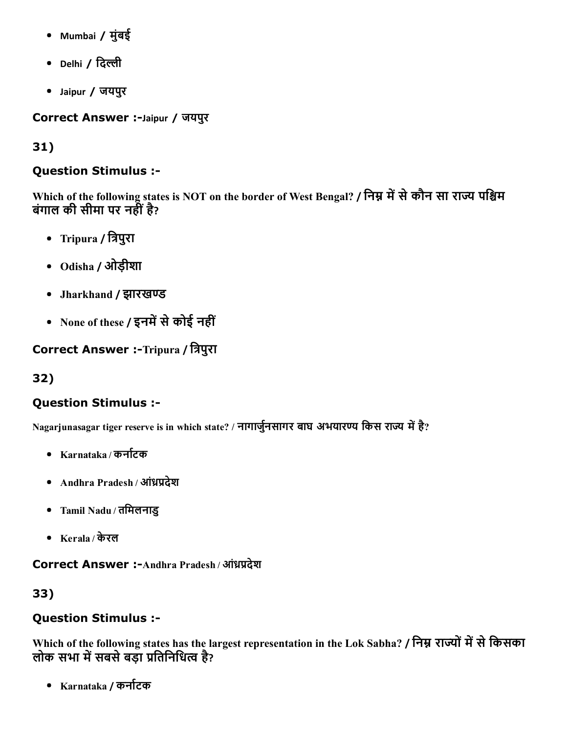- Mumbai / मुंबई
- Delhi / दिल्ली
- Jaipur / जयपुर

Correct Answer :-Jaipur / जयपुर

# 31)

## Question Stimulus :

Which of the following states is NOT on the border of West Bengal? / निम्न में से कौन सा राज्य पश्चिम बंगाल की सीमा पर नहीं है?

- Tripura / त्रिपुरा
- Odisha / ओड़ीशा
- Jharkhand / झारखण्ड
- None of these / इनमें से कोई नहीं

Correct Answer :-Tripura / त्रिपुरा

# 32)

# Question Stimulus :

Nagarjunasagar tiger reserve is in which state? / नागार्जुनसागर बाघ अभयारण्य किस राज्य में है?

- Karnataka / कर्नाटक
- Andhra Pradesh / आंध्रप्रदेश
- Tamil Nadu / तिमलनाडु
- Kerala / केरल

Correct Answer :- Andhra Pradesh / आंध्रप्रदेश

# 33)

# Question Stimulus :

Which of the following states has the largest representation in the Lok Sabha? / निम्न राज्यों में से किसका लोक सभा में सबसे बड़ा प्रतिनिधित्व है?

• Karnataka / कर्नाटक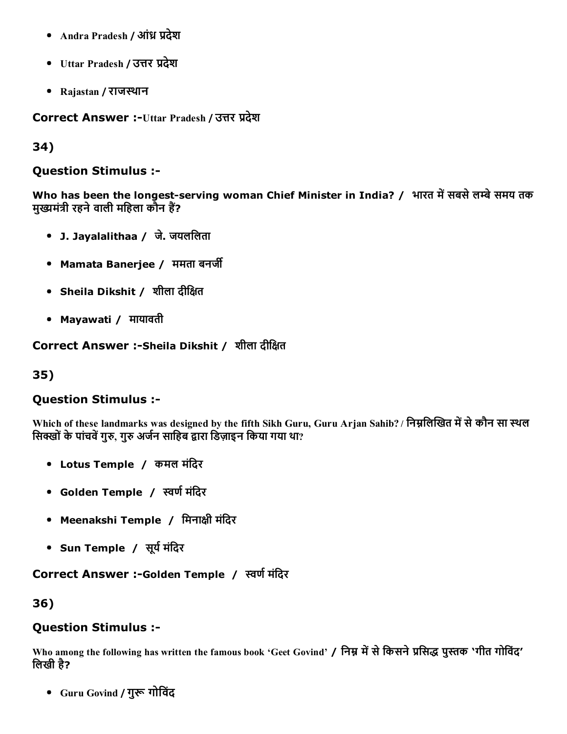- Andra Pradesh / आंध्र प्रदेश
- Uttar Pradesh / उत्तर प्रदेश
- Rajastan / राजस्थान

Correct Answer :-Uttar Pradesh / उत्तर प्रदेश

34)

#### Question Stimulus :

Who has been the longest-serving woman Chief Minister in India? / भारत में सबसे लम्बे समय तक मुख्यमंत्री रहने वाली महिला कौन हैं?

- J. Jayalalithaa / जे. जयलिलता
- Mamata Banerjee / ममता बनर्जी
- Sheila Dikshit / शीला दीिāत
- Mayawati / मायावती

Correct Answer :-Sheila Dikshit / शीला दीक्षित

35)

### Question Stimulus :

Which of these landmarks was designed by the fifth Sikh Guru, Guru Arjan Sahib? / निम्नलिखित में से कौन सा स्थल सिक्खों के पांचवें गुरु, गुरु अर्जन साहिब द्वारा डिज़ाइन किया गया था?

- Lotus Temple / कमल मंिदर
- Golden Temple / स्वर्ण मंदिर
- Meenakshi Temple / मिनाक्षी मंदिर
- Sun Temple / सूर्य मंदिर

#### Correct Answer :-Golden Temple / स्वर्ण मंदिर

36)

#### Question Stimulus :

Who among the following has written the famous book 'Geet Govind' / निम्न में से किसने प्रसिद्ध पुस्तक 'गीत गोविंद' िलखी है?

• Guru Govind / गुरू गोविंद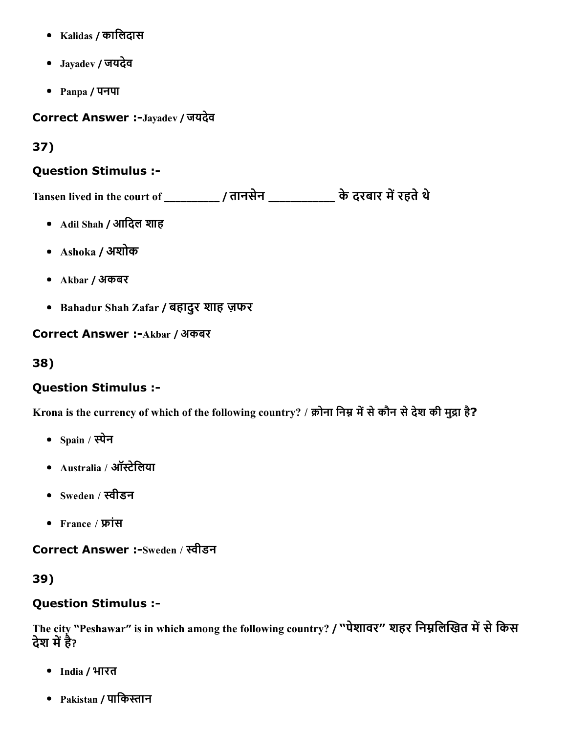- Kalidas / कािलदास
- Jayadev / जयदेव
- Panpa / पनपा

Correct Answer :-Jayadev / जयदेव

# 37)

## Question Stimulus :

Tansen lived in the court of \_\_\_\_\_\_\_\_\_\_ / तानसेन \_\_\_\_\_\_\_\_\_\_\_ के दरबार में रहते थे

- Adil Shah / आदिल शाह
- Ashoka / अशोक
- Akbar / अकबर
- Bahadur Shah Zafar / बहादुर शाह ज़फर

Correct Answer :- Akbar / अकबर

38)

# Question Stimulus :

Krona is the currency of which of the following country? / क्रोना निम्न में से कौन से देश की मुद्रा है?

- $\bullet$  Spain / स्पेन
- Australia / ऑस्टेलिया
- Sweden / תּीडन
- France /  $\overline{W}$ सि

Correct Answer :-Sweden / स्वीडन

39)

# Question Stimulus :

The city "Peshawar" is in which among the following country? / "पेशावर" शहर निम्नलिखित में से किस देश में है?

- India / भारत
- Pakistan / पाकिस्तान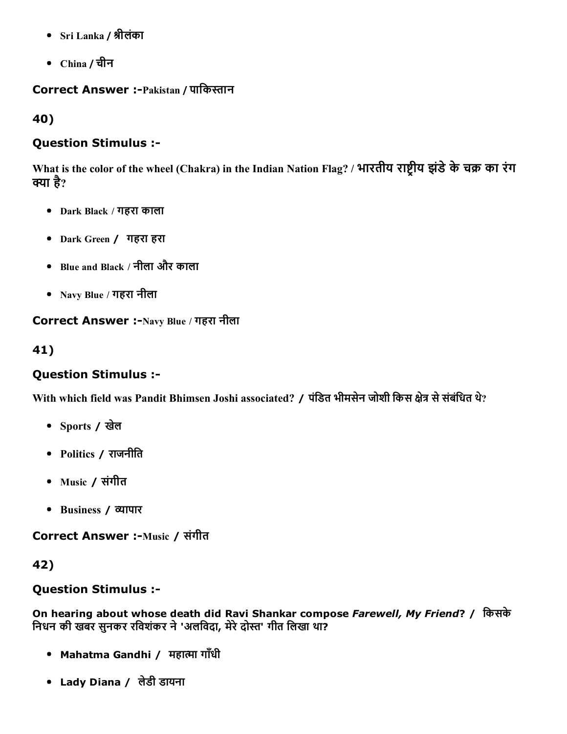- Sri Lanka / mीलंका
- China / चीन

#### Correct Answer :-Pakistan / पाकिस्तान

40)

### Question Stimulus :

What is the color of the wheel (Chakra) in the Indian Nation Flag? / भारतीय राष्ट्रीय झंडे के चक्र का रंग क्या है?

- Dark Black / गहरा काला
- Dark Green / गहरा हरा
- Blue and Black / नीला और काला
- Navy Blue / गहरा नीला

Correct Answer :-Navy Blue / गहरा नीला

### 41)

### Question Stimulus :

With which field was Pandit Bhimsen Joshi associated? / पंडित भीमसेन जोशी किस क्षेत्र से संबंधित थे?

- Sports / खले
- Politics / राजनीित
- Music / संगीत
- Business / Ґापार

Correct Answer :- Music / संगीत

### 42)

## Question Stimulus :

On hearing about whose death did Ravi Shankar compose *Farewell, My Friend*? / िकसके निधन की खबर सुनकर रविशंकर ने 'अलविदा, मेरे दोस्त' गीत लिखा था?

- Mahatma Gandhi / महात्मा गाँधी
- Lady Diana / लेडी डायना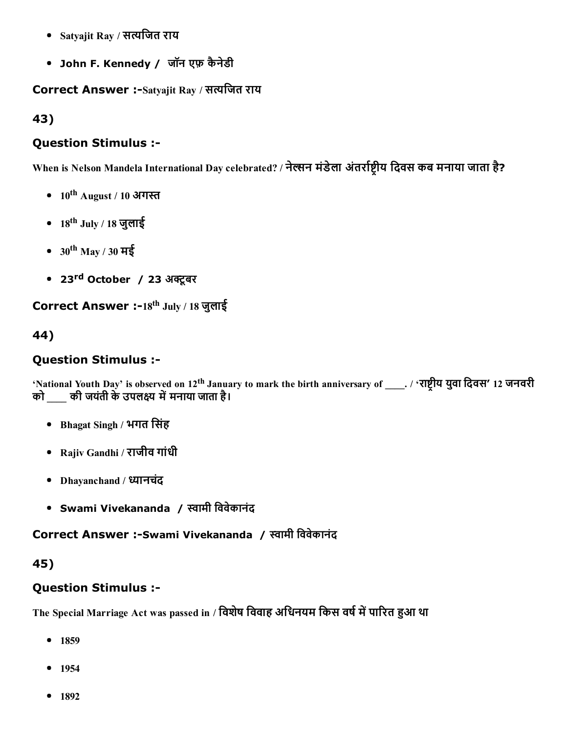- Satyajit Ray / सत्यजित राय
- John F. Kennedy / जॉन एफ़ कैनेडी

Correct Answer :-Satyajit Ray / सत्यजित राय

43)

## Question Stimulus :

When is Nelson Mandela International Day celebrated? / नेल्सन मंडेला अंतर्राष्टीय दिवस कब मनाया जाता है?

- $10^{\rm th}$  August / 10 अगस्त
- 18<sup>th</sup> July / 18 जुलाई
- 30<sup>th</sup> May / 30 मई
- 23<sup>rd</sup> October / 23 अक्टूबर

Correct Answer :-18<sup>th</sup> July / 18 जुलाई

44)

## Question Stimulus :

'National Youth Day' is observed on  $12^{\rm th}$  January to mark the birth anniversary of \_\_\_\_. / 'राष्ट्रीय युवा दिवस' 12 जनवरी को \_\_\_\_ की जयंती के उपलक्ष्य में मनाया जाता है।

- Bhagat Singh / भगत िसंह
- Rajiv Gandhi / राजीव गांधी
- Dhayanchand / ध्यानचंद
- Swami Vivekananda / תּामी िववेकानंद

Correct Answer :-Swami Vivekananda / स्वामी विवेकानंद

## 45)

# Question Stimulus :

The Special Marriage Act was passed in / विशेष विवाह अधिनयम किस वर्ष में पारित हुआ था

- 1859
- $-1954$
- 1892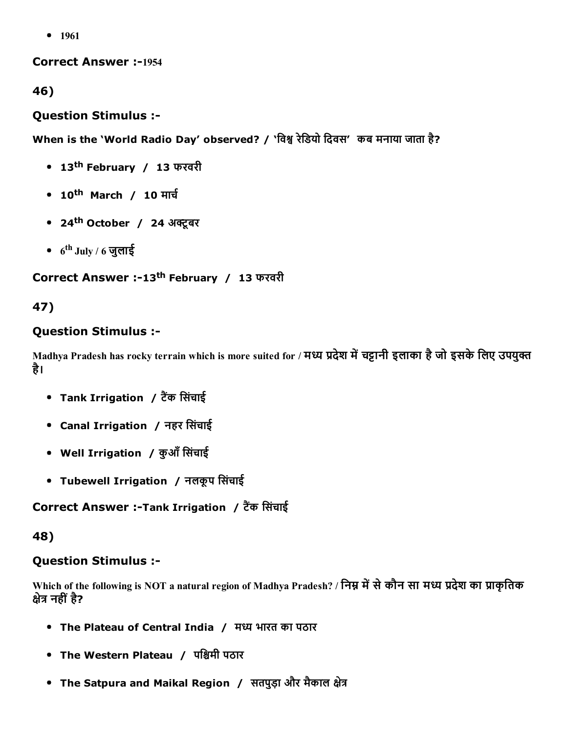• 1961

**Correct Answer :-1954** 

46)

#### Question Stimulus :

When is the 'World Radio Day' observed? / 'विश्व रेडियो दिवस' कब मनाया जाता है?

- 13 th February / 13 फरवरी
- 10<sup>th</sup> March / 10 मार्च
- 24<sup>th</sup> October / 24 अक्टूबर
- $6^{\rm th}$  July / 6 जुलाई

Correct Answer :-13<sup>th</sup> February / 13 फरवरी

### 47)

#### Question Stimulus :

Madhya Pradesh has rocky terrain which is more suited for / मध्य प्रदेश में चट्टानी इलाका है जो इसके लिए उपयुक्त है।

- Tank Irrigation / टैंक सिंचाई
- Canal Irrigation / नहर िसंचाई
- Well Irrigation / कुआँ सिंचाई
- Tubewell Irrigation / नलकूप सिंचाई

Correct Answer :-Tank Irrigation / टैंक सिंचाई

48)

#### Question Stimulus :

Which of the following is NOT a natural region of Madhya Pradesh? / निम्न में से कौन सा मध्य प्रदेश का प्राकृतिक क्षेत्र नहीं है?

- The Plateau of Central India / मध्य भारत का पठार
- The Western Plateau / पश्चिमी पठार
- The Satpura and Maikal Region / सतपुड़ा और मैकाल क्षेत्र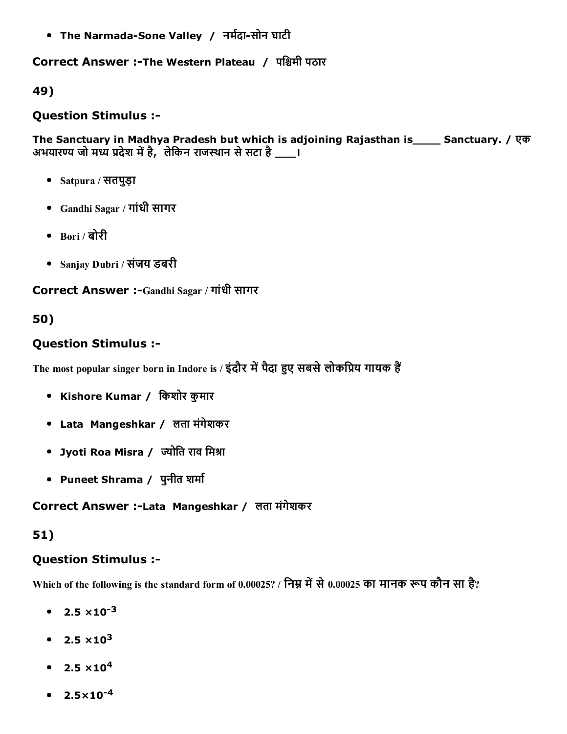• The Narmada-Sone Valley / नर्मदा-सोन घाटी

#### Correct Answer :-The Western Plateau / पश्चिमी पठार

#### 49)

#### Question Stimulus :

The Sanctuary in Madhya Pradesh but which is adjoining Rajasthan is\_\_\_\_ Sanctuary. / एक अभयारण्य जो मध्य प्रदेश में है, लेकिन राजस्थान से सटा है \_\_\_।

- Satpura / सतपुड़ा
- Gandhi Sagar / गांधी सागर
- Bori / बोरी
- Sanjay Dubri / संजय डबरी

Correct Answer :-Gandhi Sagar / गांधी सागर

### 50)

### Question Stimulus :

The most popular singer born in Indore is / इंदौर में पैदा हुए सबसे लोकप्रिय गायक हैं

- Kishore Kumar / िकशोर कुमार
- Lata Mangeshkar / लता मंगेशकर
- Jyoti Roa Misra / ज्योति राव मिश्रा
- Puneet Shrama / पुनीत शर्मा

#### Correct Answer :Lata Mangeshkar / लता मंगेशकर

### 51)

### Question Stimulus :

Which of the following is the standard form of 0.00025? / निम्न में से 0.00025 का मानक रूप कौन सा है?

- $2.5 \times 10^{-3}$
- $2.5 \times 10^3$
- $2.5 \times 10^{4}$
- $2.5 \times 10^{-4}$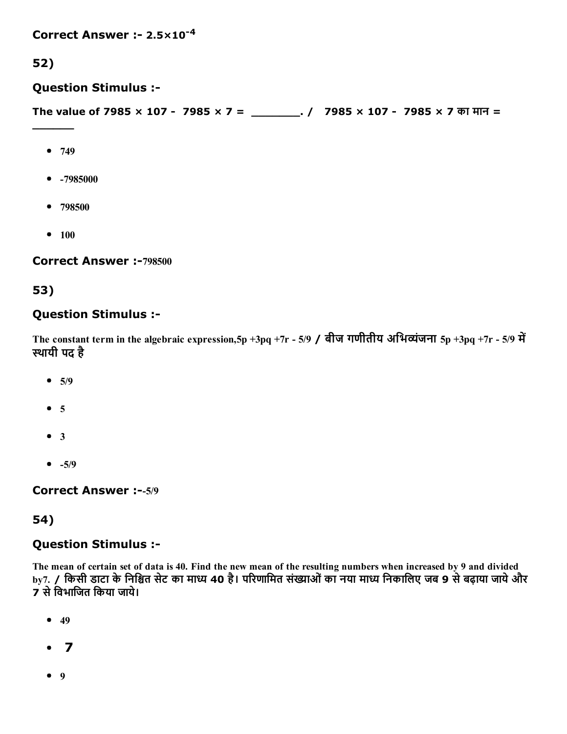Correct Answer :-  $2.5 \times 10^{-4}$ 

### 52)

Question Stimulus :

The value of 7985 × 107 7985 × 7 = \_\_\_\_\_\_\_. / 7985 × 107 7985 × 7 का मान =

 $• 749$ 

 $\overline{\phantom{a}}$ 

- $-7985000$
- 798500
- $100$

Correct Answer :-798500

### 53)

### Question Stimulus :

The constant term in the algebraic expression,  $5p + 3pq + 7r - 5/9$  / बीज गणीतीय अभिव्यंजना  $5p + 3pq + 7r - 5/9$  में эथायी पद है

- $5/9$
- $5$
- $3$
- $-5/9$

Correct Answer :-- 5/9

### 54)

#### Question Stimulus :

The mean of certain set of data is 40. Find the new mean of the resulting numbers when increased by 9 and divided by7. / किसी डाटा के निश्चित सेट का माध्य 40 है। परिणामित संख्याओं का नया माध्य निकालिए जब 9 से बढ़ाया जाये और 7 सेिवभािजत िकया जाये।

- $49$
- $\bullet$  7
- $9$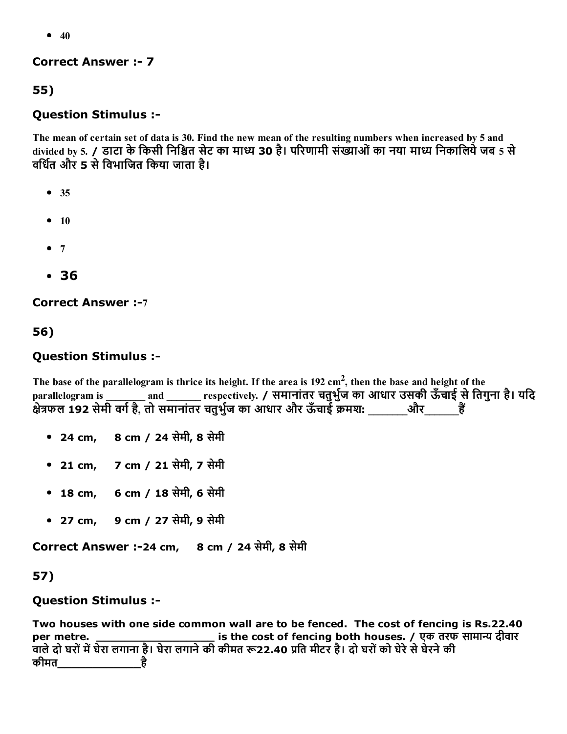$• 40$ 

#### **Correct Answer :- 7**

55)

### Question Stimulus :

The mean of certain set of data is 30. Find the new mean of the resulting numbers when increased by 5 and divided by 5. / डाटा के किसी निश्चित सेट का माध्य 30 है। परिणामी संख्याओं का नया माध्य निकालिये जब 5 से वर्धित और 5 से विभाजित किया जाता है।

- $35$
- $10$
- $7$
- 36

**Correct Answer :-7** 

56)

### Question Stimulus :

The base of the parallelogram is thrice its height. If the area is 192 cm<sup>2</sup>, then the base and height of the parallelogram is \_\_\_\_\_\_\_\_ and \_\_\_\_\_\_\_ respectively. / समानांतर चतुर्भुज का आधार उसकी ऊँचाई से तिगुना है। यदि paranciogram is \_\_\_\_\_\_\_\_ and \_\_\_\_\_\_\_ respectively. 7 when we an sight of the sense is and the sense if  $\ddot{\hat{\epsilon}}$ 

- 24 cm, 8 cm / 24 सेमी, 8 सेमी
- 21 cm, 7 cm / 21 सेमी, 7 सेमी
- 18 cm, 6 cm / 18 सेमी, 6 सेमी
- 27 cm, 9 cm / 27 सेमी, 9 सेमी

Correct Answer :24 cm, 8 cm / 24 सेमी, 8 सेमी

57)

### Question Stimulus :

Two houses with one side common wall are to be fenced. The cost of fencing is Rs.22.40 per metre. \_\_\_\_\_\_\_\_\_\_\_\_\_\_\_\_\_\_\_\_\_\_\_\_\_ is the cost of fencing both houses. / एक तरफ सामान्य दीवार वाले दो घरों में घेरा लगाना है। घेरा लगाने की कीमत रू22.40 प्रति मीटर है। दो घरों को घेरे से घेरने की कीमत\_\_\_\_\_\_\_\_\_\_\_\_है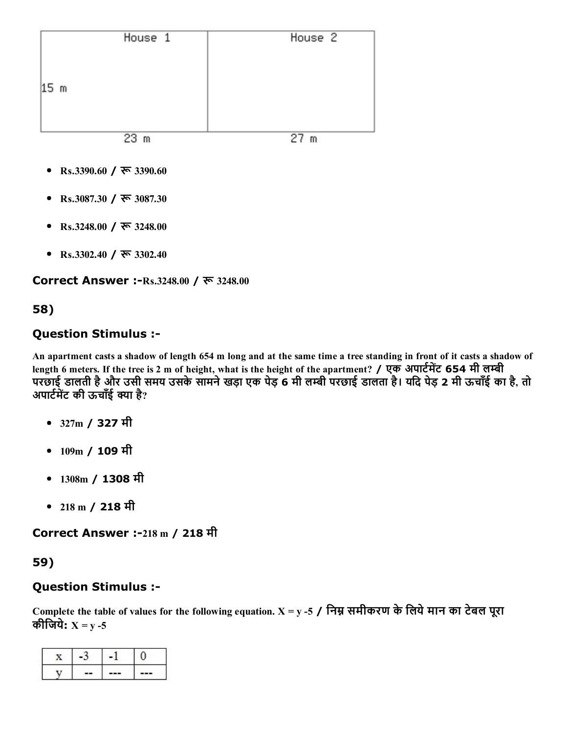|                 | House 1 | House <sub>2</sub> |
|-----------------|---------|--------------------|
|                 |         |                    |
| 15 <sub>m</sub> |         |                    |
|                 |         |                    |
|                 | 23<br>m | 27<br>m            |

- Rs.3390.60 / रू 3390.60
- Rs.3087.30 / रू 3087.30
- Rs.3248.00 / रू 3248.00
- Rs.3302.40 /  $\overline{\mathcal{R}}$  3302.40

Correct Answer :-Rs.3248.00 / रू 3248.00

### 58)

### Question Stimulus :

An apartment casts a shadow of length 654 m long and at the same time a tree standing in front of it casts a shadow of length 6 meters. If the tree is 2 m of height, what is the height of the apartment? / एक अपार्टमेंट 654 मी लम्बी परछाई डालती है और उसी समय उसके सामने खड़ा एक पेड़ 6 मी लम्बी परछाई डालता है। यदि पेड़ 2 मी ऊचाँई का है, तो अपार्टमेंट की ऊंचाँई क्या है?

- 327m / 327 मी
- 109m / 109 मी
- 1308m / 1308 मी
- 218 m / 218 मी

Correct Answer :-218 m / 218 मी

### 59)

### Question Stimulus :

Complete the table of values for the following equation.  $X = y - 5$  / निम्न समीकरण के लिये मान का टेबल पूरा कीजिये:  $X = y - 5$ 

| -- | --- | --- |
|----|-----|-----|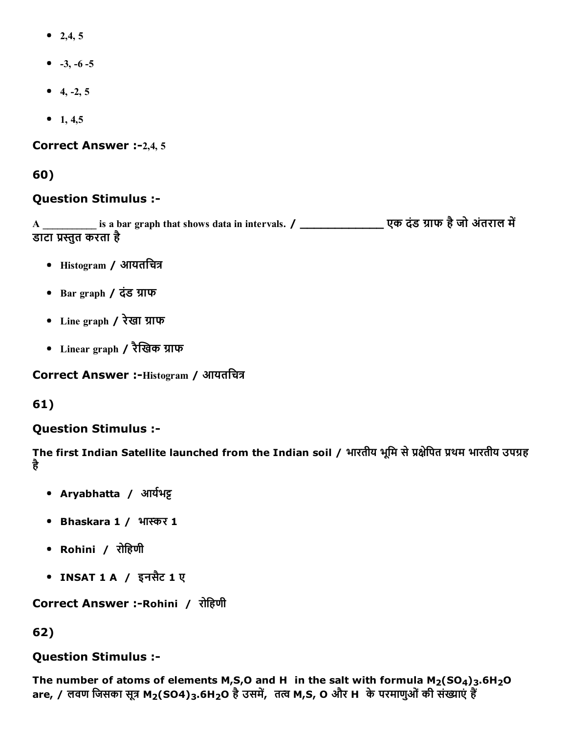- 2,4, 5
- $-3, -6 -5$
- $-4, -2, 5$
- 1, 4,5

Correct Answer :-2,4, 5

60)

#### Question Stimulus :

A \_\_\_\_\_\_\_\_\_\_\_\_\_ is a bar graph that shows data in intervals. / \_\_\_\_\_\_\_\_\_\_\_\_\_\_\_\_\_\_\_\_\_\_\_ एक दंड ग्राफ है जो अंतराल में डाटा प्रस्तुत करता है

- $\bullet$  Histogram / आयतचित्र
- Bar graph / दंड ग्राफ
- Line graph / रेखा ĭाफ
- Linear graph / रैखिक ग्राफ

Correct Answer :-Histogram / आयतचित्र

61)

### Question Stimulus :

The first Indian Satellite launched from the Indian soil / भारतीय भूमि से प्रक्षेपित प्रथम भारतीय उपग्रह है

- Aryabhatta / आर्यभट्ट
- Bhaskara 1 / भास्कर 1
- Rohini / रोिहणी
- INSAT 1 A / इनसैट 1 ए

Correct Answer :-Rohini / रोहिणी

### 62)

#### Question Stimulus :

The number of atoms of elements M,S,O and H in the salt with formula  $M_2(SO_4)_3.6H_2O$ are, / लवण जिसका सूत्र M<sub>2</sub>(SO4)3.6H<sub>2</sub>O है उसमें, तत्व M,S, O और H के परमाणुओं की संख्याएं हैं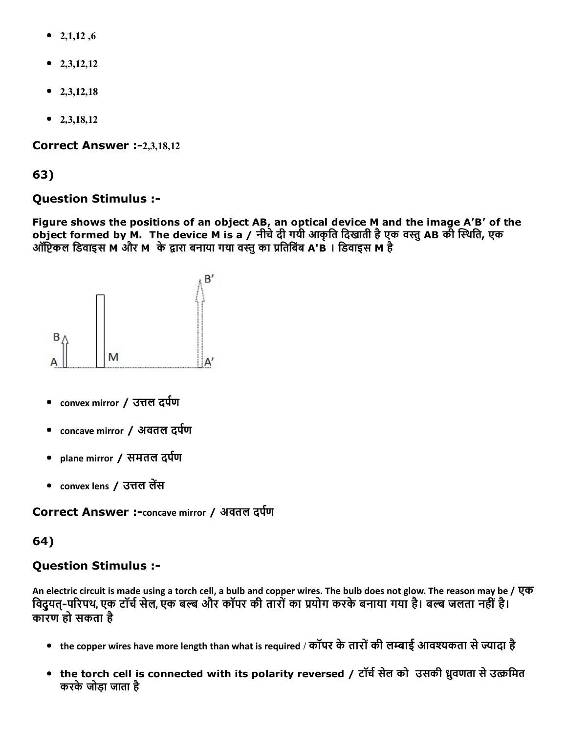- 2,1,12,6
- $2,3,12,12$
- $\bullet$  2,3,12,18
- $2,3,18,12$

Correct Answer :-2,3,18,12

63)

## Question Stimulus :

Figure shows the positions of an object AB, an optical device M and the image A'B' of the object formed by M. The device M is a / नीचे दी गयी आकृति दिखाती है एक वस्तु AB की स्थिति, एक ऑप्टिकल डिवाइस M और M के द्वारा बनाया गया वस्तु का प्रतिबिंब A'B । डिवाइस M है



- convex mirror / उत्तल दर्पण
- concave mirror / अवतल दर्पण
- plane mirror / समतल दर्पण
- convex lens / उत्तल लेंस

Correct Answer :-concave mirror / अवतल दर्पण

## 64)

## Question Stimulus :

An electric circuit is made using a torch cell, a bulb and copper wires. The bulb does not glow. The reason may be / एक विद्वयत्-परिपथ, एक टॉर्च सेल, एक बल्ब और कॉपर की तारों का प्रयोग करके बनाया गया है। बल्ब जलता नहीं है। कारण हो सकता है

- the copper wires have more length than what is required / कॉपर के तारों की लम्बाई आवश्यकता से ज्यादा है
- the torch cell is connected with its polarity reversed / टॉर्च सेल को उसकी ध्रुवणता से उत्क्रमित करकेजोड़ा जाता है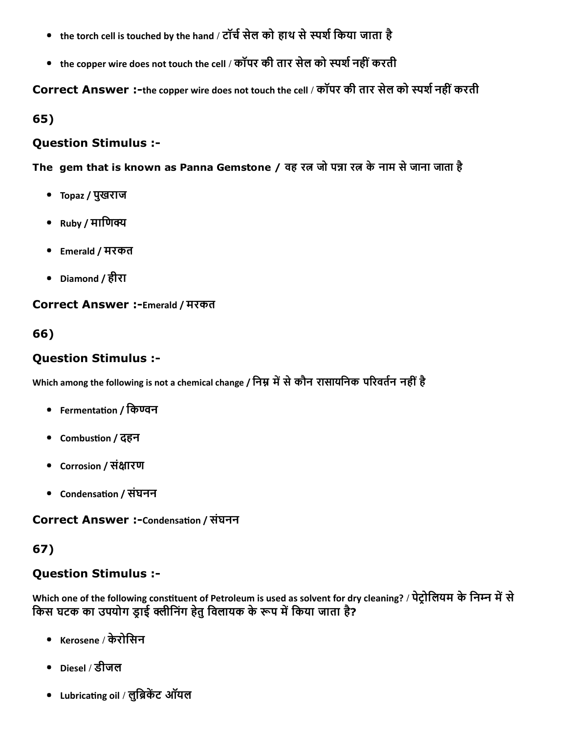- the torch cell is touched by the hand / टॉर्च सेल को हाथ से स्पर्श किया जाता है
- the copper wire does not touch the cell / कॉपर की तार सेल को स्पर्श नहीं करती

Correct Answer :-the copper wire does not touch the cell / कॉपर की तार सेल को स्पर्श नहीं करती

65)

### Question Stimulus :

The gem that is known as Panna Gemstone / वह रत्न जो पन्ना रत्न के नाम से जाना जाता है

- Topaz / पुखराज
- $Ruby / HI$ णिक्य
- Emerald / मरकत
- Diamond / हीरा

Correct Answer :-Emerald / मरकत

## 66)

## Question Stimulus :

Which among the following is not a chemical change / निम्न में से कौन रासायनिक परिवर्तन नहीं है

- Fermentation / किण्वन
- Combustion / दहन
- Corrosion / संक्षारण
- Condensation / संघनन

Correct Answer :-Condensation / संघनन

## 67)

## Question Stimulus :

Which one of the following constituent of Petroleum is used as solvent for dry cleaning? / पेट्रोलियम के निम्न में से किस घटक का उपयोग ड्राई क्लीनिंग हेतु विलायक के रूप में किया जाता है?

- Kerosene / केरोिसन
- Diesel / डीजल
- Lubricating oil / लुब्रिकेंट ऑयल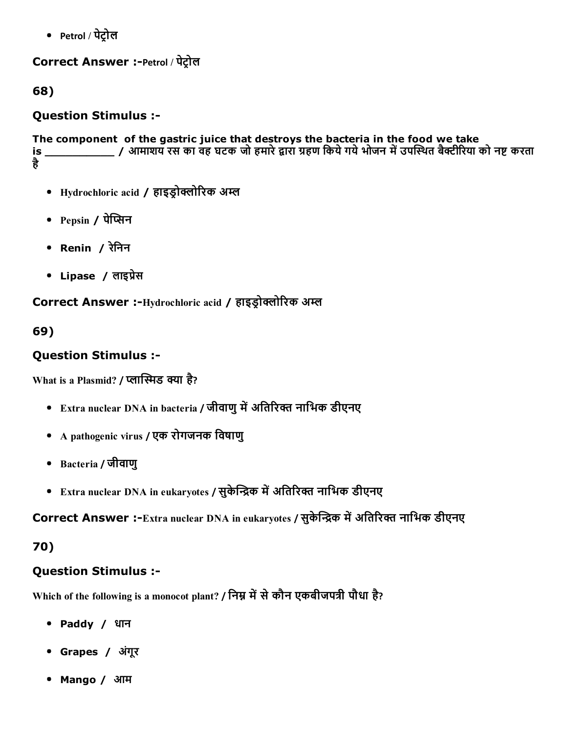• Petrol / पेट्रोल

## Correct Answer :-Petrol / पेट्रोल

68)

## Question Stimulus :

The component of the gastric juice that destroys the bacteria in the food we take is \_\_\_\_\_\_\_\_\_\_ / आमाशय रस का वह घटक जो हमारे¸ारा ĭहण िकयेगयेभोजन मgउपεэथत बैōीδरया को नЊ करता है

- Hydrochloric acid / हाइड्रोक्लोरिक अम्ल
- Pepsin / पेप्सिन
- Renin / रेिनन
- Lipase / लाइप्रेस

Correct Answer :-Hydrochloric acid / हाइड्रोक्लोरिक अम्ल

69)

# Question Stimulus :

What is a Plasmid? / प्लास्मिड क्या है?

- Extra nuclear DNA in bacteria / जीवाणु में अतिरिक्त नाभिक डीएनए
- A pathogenic virus / एक रोगजनक िवषाणु
- Bacteria / जीवाणु
- Extra nuclear DNA in eukaryotes / सुकेन्द्रिक में अतिरिक्त नाभिक डीएनए

Correct Answer :-Extra nuclear DNA in eukaryotes / सुकेन्द्रिक में अतिरिक्त नाभिक डीएनए

## 70)

## Question Stimulus :

Which of the following is a monocot plant? / निम्न में से कौन एकबीजपत्री पौधा है?

- Paddy / धान
- Grapes / अंगूर
- Mango / आम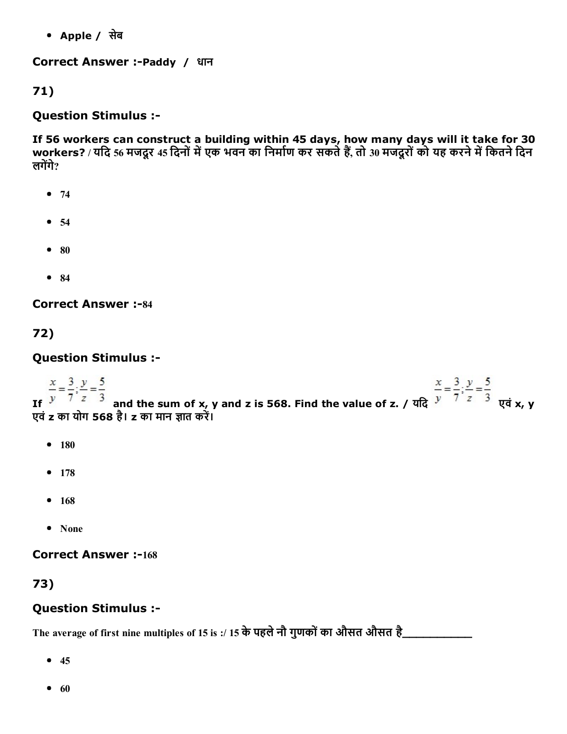Apple / सेब

Correct Answer :-Paddy / धान

71)

## Question Stimulus :

If 56 workers can construct a building within 45 days, how many days will it take for 30 workers? / यदि 56 मजदूर 45 दिनों में एक भवन का निर्माण कर सकते हैं, तो 30 मजदूरों को यह करने में कितने दिन लगेंगे $\overline{?}$ 

- $74$
- $54$
- $80$
- $84$

**Correct Answer :-84** 

72)

Question Stimulus :

If  $\frac{x}{y} = \frac{3}{7}; \frac{y}{z} = \frac{5}{3}$ <br>If  $\frac{x}{y} = \frac{3}{7}; \frac{y}{z} = \frac{5}{3}$ <br>If  $\frac{x}{y} = \frac{3}{7}; \frac{y}{z} = \frac{5}{3}$ <br>If  $\frac{y}{y} = \frac{5}{7}$ <br>If  $\frac{z}{z} = \frac{3}{3}$ <br>If  $\frac{y}{z} = \frac{5}{3}$ एवं z का योग 568 है। z का मान ज्ञात करें।

- $180$
- 178
- $168$
- None

**Correct Answer :-168** 

73)

## Question Stimulus :

The average of first nine multiples of 15 is :/ 15 केपहलेनौ गुणकोंका औसत औसत है\_\_\_\_\_\_\_\_\_\_

- $45$
- $60$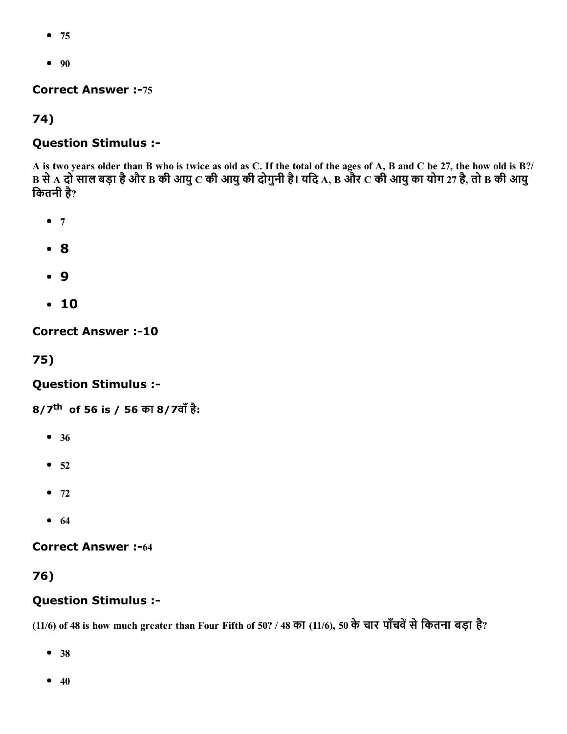- 75
- $90$

**Correct Answer :-75** 

74)

## Question Stimulus :

A is two years older than B who is twice as old as C. If the total of the ages of A, B and C be 27, the how old is B?/  $\, {\bf B}$  से  $\, {\bf A}$  दो साल बड़ा है और B की आयु  $\, {\bf C}$  की आयु की दोगुनी है। यदि  ${\bf A}, \, {\bf B}$  और  $\, {\bf C}$  की आयु का योग 27 है, तो B की आयु िकतनी है?

- $7$
- 8
- 9
- 10

**Correct Answer :-10** 

75)

Question Stimulus :

8/7<sup>th</sup> of 56 is / 56 का 8/7वाँ है:

- 36
- $52$
- $72$
- $64$

**Correct Answer :-64** 

### 76)

### Question Stimulus :

(11/6) of 48 is how much greater than Four Fifth of 50? / 48 का (11/6), 50 के चार पाँचवें से कितना बड़ा है?

- 38
- $40$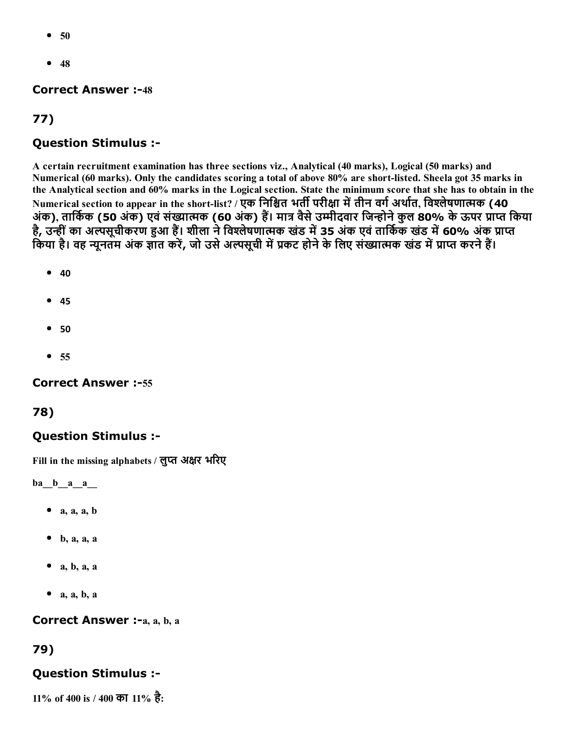- 50
- $48$

#### **Correct Answer :-48**

## 77)

### Question Stimulus :

A certain recruitment examination has three sections viz., Analytical (40 marks), Logical (50 marks) and Numerical (60 marks). Only the candidates scoring a total of above 80% are short-listed. Sheela got 35 marks in the Analytical section and 60% marks in the Logical section. State the minimum score that she has to obtain in the Numerical section to appear in the short-list? / एक निश्चित भर्ती परीक्षा में तीन वर्ग अर्थात, विश्लेषणात्मक (40 अंक), तार्किक (50 अंक) एवं संख्यात्मक (60 अंक) हैं। मात्र वैसे उम्मीदवार जिन्होने कुल 80% के ऊपर प्राप्त किया है, उन्हीं का अल्पसूचीकरण हुआ हैं। शीला ने विश्लेषणात्मक खंड में 35 अंक एवं तार्किक खंड में 60% अंक प्राप्त किया है। वह न्यूनतम अंक ज्ञात करें, जो उसे अल्पसूची में प्रकट होने के लिए संख्यात्मक खंड में प्राप्त करने हैं।

- $40$
- $45$
- $50$
- $55$

#### **Correct Answer :-55**

#### 78)

### Question Stimulus :

Fill in the missing alphabets / लुप्त अक्षर भरिए

 $ba$ <sub> $b$ </sub> $a$  $a$ 

- $a, a, a, b$
- $\bullet$  b, a, a, a
- $\bullet$  a, b, a, a
- $\bullet$  a, a, b, a

Correct Answer :-a, a, b, a

### 79)

### Question Stimulus :

11% of 400 is / 400 का 11% है: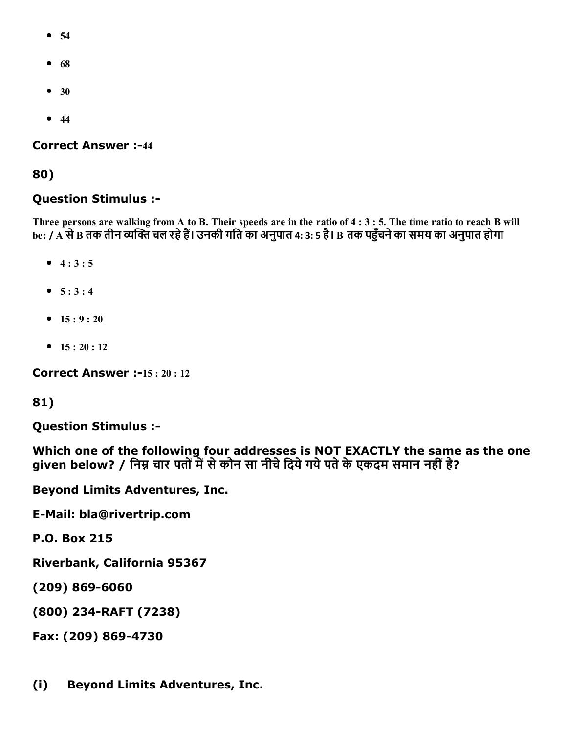- 54
- $68$
- $30$
- $44$

#### **Correct Answer :-44**

#### 80)

#### Question Stimulus :

Three persons are walking from A to B. Their speeds are in the ratio of 4 : 3 : 5. The time ratio to reach B will be: / A से B तक तीन व्यक्ति चल रहे हैं। उनकी गति का अनुपात 4: 3: 5 है। B तक पहुँचने का समय का अनुपात होगा

- $4 : 3 : 5$
- $5 : 3 : 4$
- $15 : 9 : 20$
- $15 : 20 : 12$

**Correct Answer :-15: 20: 12** 

#### 81)

Question Stimulus :

Which one of the following four addresses is NOT EXACTLY the same as the one given below? / निम्न चार पतों में से कौन सा नीचे दिये गये पते के एकदम समान नहीं है?

Beyond Limits Adventures, Inc.

E-Mail: bla@rivertrip.com

P.O. Box 215

Riverbank, California 95367

 $(209) 869 - 6060$ 

(800) 234-RAFT (7238)

Fax: (209) 869-4730

(i) Beyond Limits Adventures, Inc.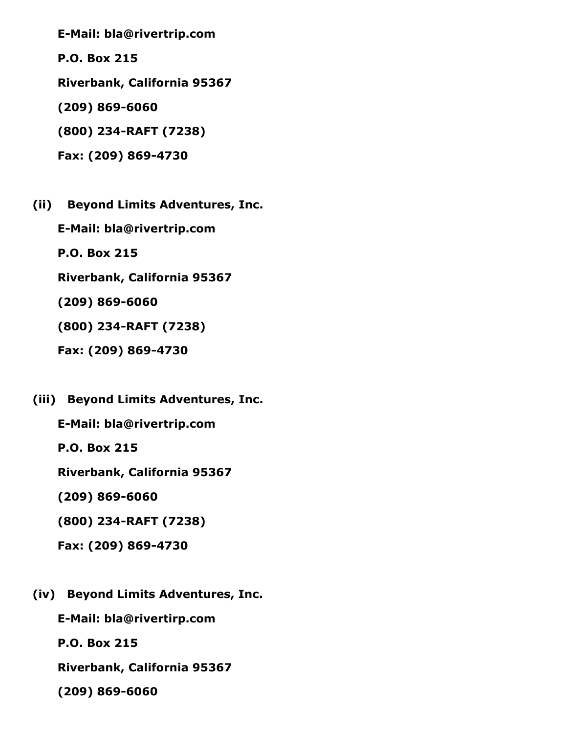E-Mail: bla@rivertrip.com

P.O. Box 215

Riverbank, California 95367

 $(209) 869 - 6060$ 

(800) 234RAFT (7238)

Fax: (209) 869-4730

(ii) Beyond Limits Adventures, Inc.

E-Mail: bla@rivertrip.com

P.O. Box 215

Riverbank, California 95367

 $(209) 869 - 6060$ 

(800) 234-RAFT (7238)

Fax: (209) 869-4730

(iii) Beyond Limits Adventures, Inc.

E-Mail: bla@rivertrip.com

P.O. Box 215

Riverbank, California 95367

 $(209) 869 - 6060$ 

(800) 234RAFT (7238)

Fax: (209) 869-4730

(iv) Beyond Limits Adventures, Inc.

E-Mail: bla@rivertirp.com

P.O. Box 215

Riverbank, California 95367

 $(209) 869 - 6060$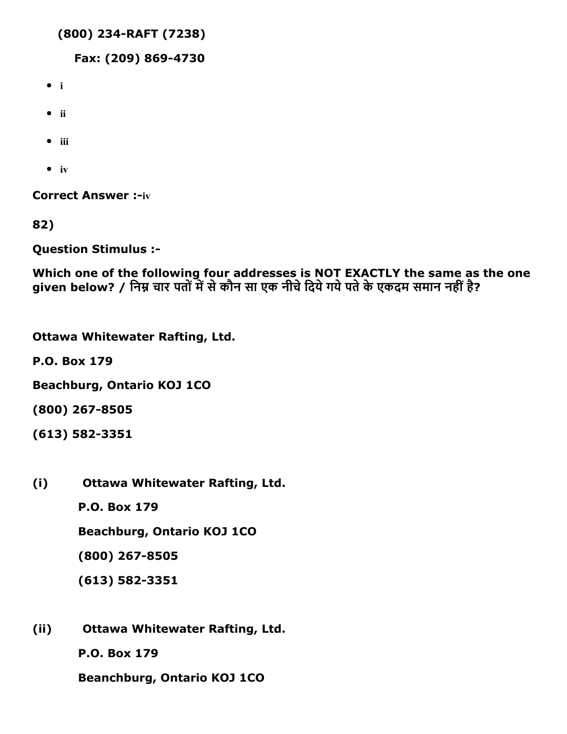```
(800) 234RAFT (7238)
```
Fax: (209) 869-4730

- i
- $\bullet$  ii
- $\bullet$  iii
- $\bullet$  iv

**Correct Answer :- iv** 

82)

Question Stimulus :

Which one of the following four addresses is NOT EXACTLY the same as the one given below? / निम्न चार पतों में से कौन सा एक नीचे दिये गये पते के एकदम समान नहीं है?

Ottawa Whitewater Rafting, Ltd.

P.O. Box 179

Beachburg, Ontario KOJ 1CO

(800) 267-8505

(613) 582-3351

(i) Ottawa Whitewater Rafting, Ltd.

P.O. Box 179

Beachburg, Ontario KOJ 1CO

(800) 267-8505

(613) 582-3351

(ii) Ottawa Whitewater Rafting, Ltd.

P.O. Box 179

Beanchburg, Ontario KOJ 1CO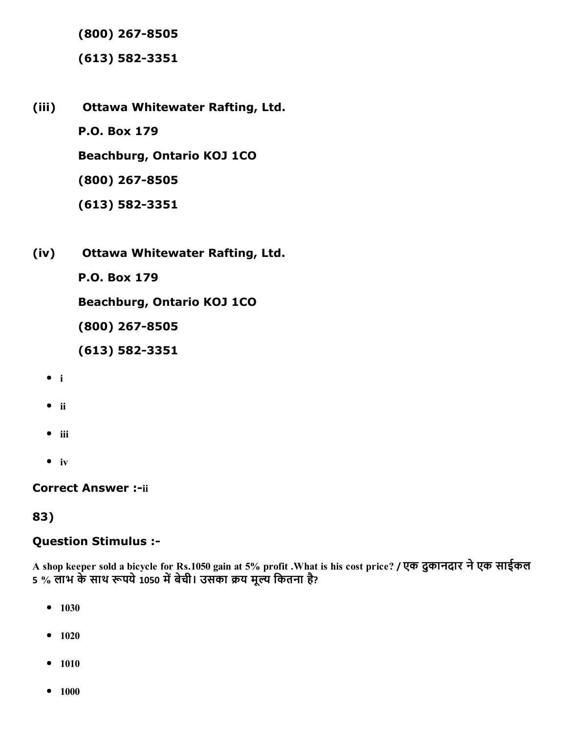(800) 267-8505

(613) 582-3351

- (iii) Ottawa Whitewater Rafting, Ltd. P.O. Box 179 Beachburg, Ontario KOJ 1CO (800) 267-8505
	- (613) 582-3351
- (iv) Ottawa Whitewater Rafting, Ltd.

P.O. Box 179

Beachburg, Ontario KOJ 1CO

(800) 267-8505

(613) 582-3351

- $\bullet$  i
- $\bullet$  ii
- $\bullet$  iii
- $\bullet$  iv

**Correct Answer :- ii** 

### 83)

### Question Stimulus :

A shop keeper sold a bicycle for Rs.1050 gain at 5% profit .What is his cost price? / एक दुकानदार नेएक साईकल 5 % लाभ के साथ रूपये 1050 में बेची। उसका क्रय मूल्य कितना है?

- $-1030$
- $-1020$
- $-1010$
- $-1000$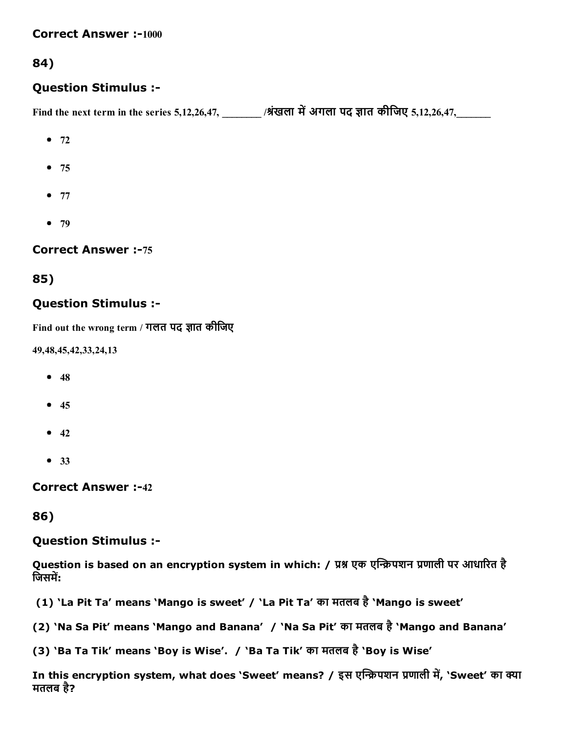#### **Correct Answer :-1000**

### 84)

### Question Stimulus :

Find the next term in the series 5,12,26,47, \_\_\_\_\_\_\_\_ /श्रंखला में अगला पद ज्ञात कीजिए 5,12,26,47,

- $72$
- $75$
- $77$
- $-79$

#### **Correct Answer :-75**

### 85)

### Question Stimulus :

Find out the wrong term / गलत पद ज्ञात कीजिए

49,48,45,42,33,24,13

- $48$
- $45$
- $42$
- 33

**Correct Answer :-42** 

### 86)

### Question Stimulus :

Question is based on an encryption system in which: / प्रश्न एक एन्क्रिपशन प्रणाली पर आधारित है जिसमें:

(1) 'La Pit Ta' means 'Mango is sweet' / 'La Pit Ta' का मतलब है'Mango is sweet'

(2) 'Na Sa Pit' means 'Mango and Banana' / 'Na Sa Pit' का मतलब है'Mango and Banana'

(3) 'Ba Ta Tik' means 'Boy is Wise'. / 'Ba Ta Tik' का मतलब है'Boy is Wise'

In this encryption system, what does 'Sweet' means? / इस एन्क्रिपशन प्रणाली में, 'Sweet' का क्या मतलब है?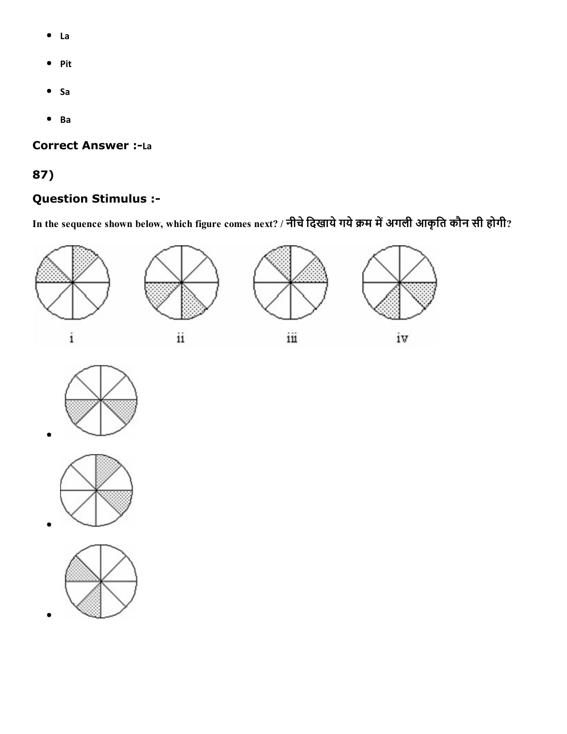- La  $\bullet$
- Pit
- $•$  Sa
- Ba

### **Correct Answer :- La**

# 87)

# Question Stimulus :

In the sequence shown below, which figure comes next? / नीचे दिखाये गये क्रम में अगली आकृति कौन सी होगी?







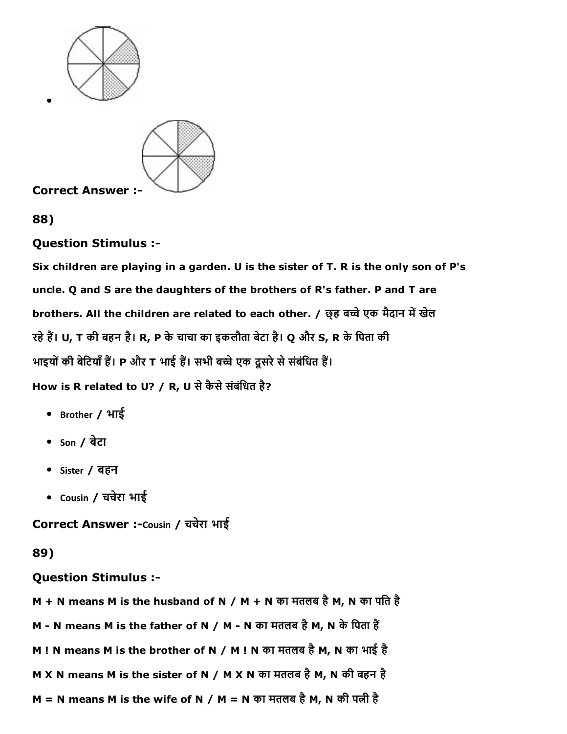

88)

### Question Stimulus :

Six children are playing in a garden. U is the sister of T. R is the only son of P's uncle. Q and S are the daughters of the brothers of R's father. P and T are brothers. All the children are related to each other. / छ्ह बच्चे एक मैदान में खेल रहे हैं। U, T की बहन है। R, P के चाचा का इकलौता बेटा है। Q और S, R के पिता की भाइयों की बेटियाँ हैं। P और T भाई हैं। सभी बच्चे एक दूसरे से संबंधित हैं। How is R related to U? / R, U से कैसे संबंधित है?

- Brother / भाई
- $\bullet$  son / बेटा
- Sister / बहन
- Cousin / चचरेा भाई

Correct Answer :-Cousin / चचेरा भाई

# 89)

# Question Stimulus :

M + N means M is the husband of N / M + N का मतलब है M, N का पति है

M - N means M is the father of N / M - N का मतलब है M, N के पिता हैं

- M ! N means M is the brother of N / M ! N का मतलब है M, N का भाई है
- M X N means M is the sister of N / M X N का मतलब है M, N की बहन है

 $M = N$  means M is the wife of N / M = N का मतलब है M, N की पत्नी है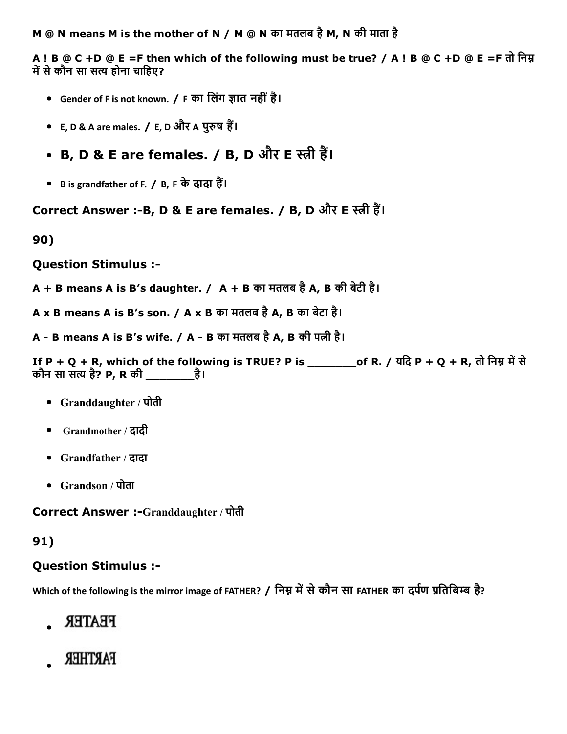M @ N means M is the mother of N / M @ N का मतलब है M, N की माता है

A ! B @ C +D @ E =F then which of the following must be true? / A ! B @ C +D @ E =F तो निम्न में से कौन सा सत्य होना चाहिए?

- Gender of F is not known. / F का लिंग ज्ञात नहीं है।
- E, D & A are males. / E, D और A पुरुष हैं।
- B, D & E are females. / B, D और E स्त्री हैं।
- B is grandfather of F. / B, F के दादा हैं।

Correct Answer :-B, D & E are females. / B, D और E स्त्री हैं।

90)

Question Stimulus :

- $A + B$  means A is B's daughter. /  $A + B$  का मतलब है A, B की बेटी है।
- A x B means A is B's son. / A x B का मतलब है A, B का बेटा है।

A - B means A is B's wife. / A - B का मतलब है A, B की पत्नी है।

```
If P + Q + R, which of the following is TRUE? P is _________of R. / यदि P + Q + R, तो निम्न में से
कौन सा सत्य है? P, R की _________ है।
```
- Granddaughter / पोती
- Grandmother / दादी
- Grandfather / दादा
- Grandson / पोता

Correct Answer :-Granddaughter / पोती

# 91)

# Question Stimulus :

Which of the following is the mirror image of FATHER? / निम्न में से कौन सा FATHER का दर्पण प्रतिबिम्ब है?

- **FEATER**
- FARTHER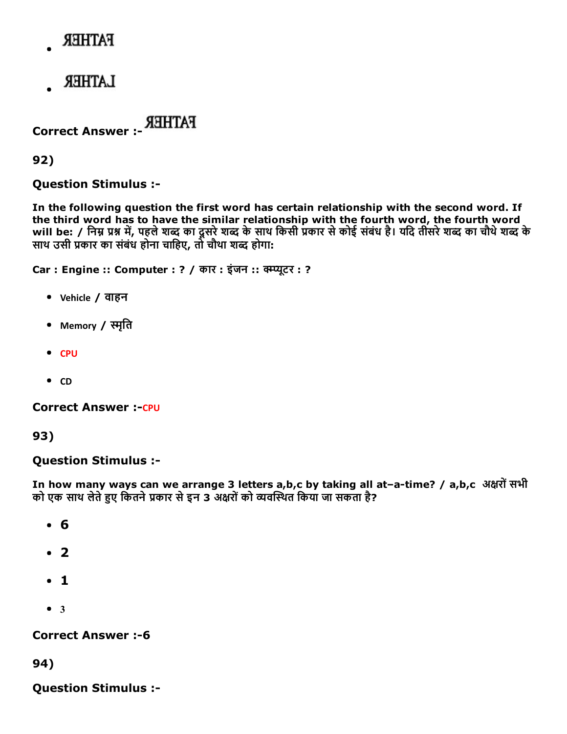# **FATHER**

**LATHER** 

Correct Answer :

92)

Question Stimulus :

In the following question the first word has certain relationship with the second word. If the third word has to have the similar relationship with the fourth word, the fourth word will be: / निम्न प्रश्न में, पहले शब्द का दूसरे शब्द के साथ किसी प्रकार से कोई संबंध है। यदि तीसरे शब्द का चौथे शब्द के साथ उसी प्रकार का संबंध होना चाहिए, तो चौथा शब्द होगा:

Car : Engine :: Computer : ? / कार : इंजन :: क्म्प्यूटर : ?

- Vehicle / वाहन
- Memory / स्मृति
- CPU
- $\bullet$  CD

**Correct Answer :- CPU** 

### 93)

### Question Stimulus :

In how many ways can we arrange 3 letters a,b,c by taking all at-a-time? / a,b,c अक्षरों सभी को एक साथ लेते हुए कितने प्रकार से इन 3 अक्षरों को व्यवस्थित किया जा सकता है?

- 6
- 2
- 1
- $3$

### **Correct Answer :- 6**

94)

Question Stimulus :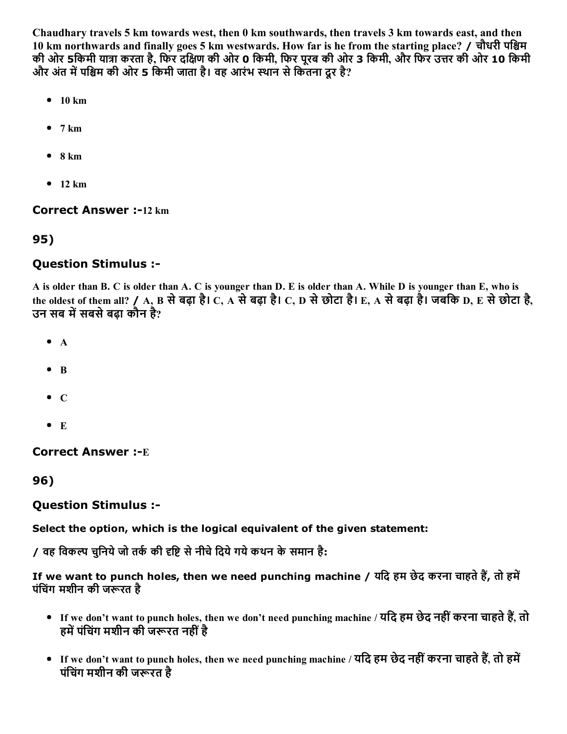Chaudhary travels 5 km towards west, then 0 km southwards, then travels 3 km towards east, and then 10 km northwards and finally goes 5 km westwards. How far is he from the starting place? / चौधरी पश्चिम की ओर 5किमी यात्रा करता है, फिर दक्षिण की ओर 0 किमी, फिर पूरब की ओर 3 किमी, और फिर उत्तर की ओर 10 किमी और अंत में पश्चिम की ओर 5 किमी जाता है। वह आरंभ स्थान से कितना दूर है?

- $\bullet$  10 km
- $\bullet$  7 km
- $\bullet$  8 km
- $-12$  km

#### **Correct Answer :-12 km**

### 95)

### Question Stimulus :

A is older than B. C is older than A. C is younger than D. E is older than A. While D is younger than E, who is the oldest of them all? / A, B सेबढ़ा है। C, A सेबढ़ा है। C, D सेछोटा है। E, A सेबढ़ा है। जबिक D, E सेछोटा है, उन सब में सबसे बढ़ा कौन है?

- $\bullet$  A
- $\bullet$  R
- $\bullet$  C
- $\bullet$  E

**Correct Answer :- E** 

96)

### Question Stimulus :

### Select the option, which is the logical equivalent of the given statement:

/ वह विकल्प चुनिये जो तर्क की दृष्टि से नीचे दिये गये कथन के समान है:

If we want to punch holes, then we need punching machine / यदि हम छेद करना चाहते हैं, तो हमें पंचिंग मशीन की जरूरत है

- If we don't want to punch holes, then we don't need punching machine / यदि हम छेद नहीं करना चाहते हैं, तो हमें पंचिंग मशीन की जरूरत नहीं है
- If we don't want to punch holes, then we need punching machine / यदि हम छेद नहीं करना चाहते हैं, तो हमें पंचिंग मशीन की जरूरत है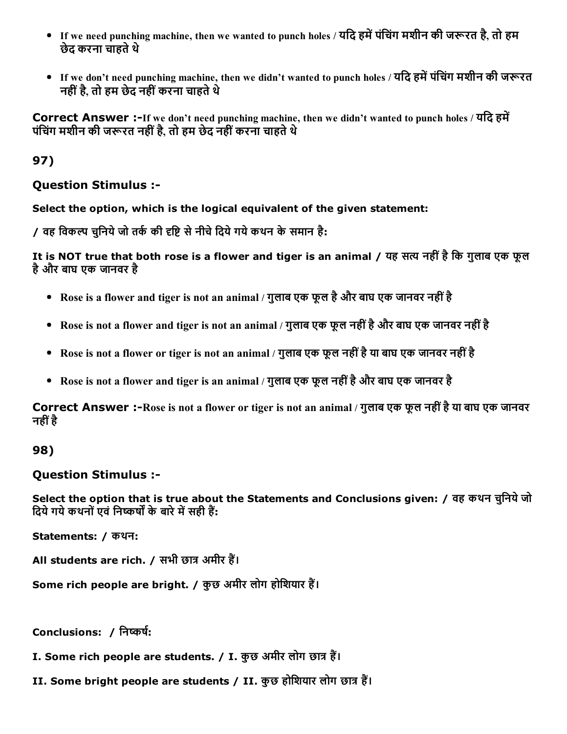- If we need punching machine, then we wanted to punch holes / यदि हमें पंचिंग मशीन की जरूरत है, तो हम छेद करना चाहते थे
- If we don't need punching machine, then we didn't wanted to punch holes / यदि हमें पंचिंग मशीन की जरूरत नहींहै, तो हम छेद नहींकरना चाहतेथे

Correct Answer :-If we don't need punching machine, then we didn't wanted to punch holes / यदि हमें पंचिंग मशीन की जरूरत नहीं है. तो हम छेद नहीं करना चाहते थे

97)

### Question Stimulus :

Select the option, which is the logical equivalent of the given statement:

/ वह विकल्प चनिये जो तर्क की दृष्टि से नीचे दिये गये कथन के समान है:

It is NOT true that both rose is a flower and tiger is an animal / यह सत्य नहीं है कि गुलाब एक फूल हैऔर बाघ एक जानवर है

- Rose is a flower and tiger is not an animal / गुलाब एक फूल है और बाघ एक जानवर नहीं है
- Rose is not a flower and tiger is not an animal / गुलाब एक फूल नहींहैऔर बाघ एक जानवर नहींहै
- Rose is not a flower or tiger is not an animal / गुलाब एक फूल नहीं है या बाघ एक जानवर नहीं है
- Rose is not a flower and tiger is an animal / गुलाब एक फूल नहींहैऔर बाघ एक जानवर है

Correct Answer :-Rose is not a flower or tiger is not an animal / गुलाब एक फूल नहीं है या बाघ एक जानवर नहींहै

# 98)

### Question Stimulus :

Select the option that is true about the Statements and Conclusions given: / वह कथन चुनिये जो दिये गये कथनों एवं निष्कर्षों के बारे में सही हैं:

Statements: / कथन:

All students are rich. / सभी छात्र अमीर हैं।

Some rich people are bright. / कुछ अमीर लोग होशियार हैं।

Conclusions: / निष्कर्ष:

 $I.$  Some rich people are students. /  $I.$  कुछ अमीर लोग छात्र हैं।

II. Some bright people are students / II. कुछ होशियार लोग छात्र हैं।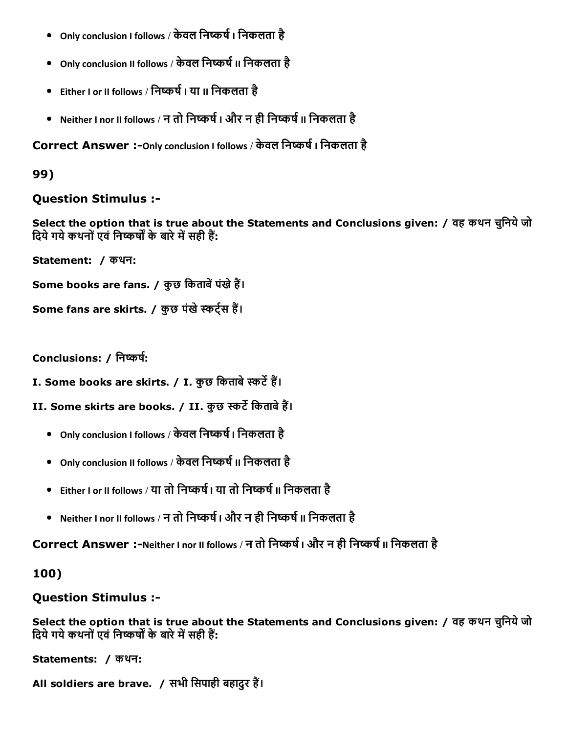- Only conclusion I follows / केवल निष्कर्ष । निकलता है
- Only conclusion II follows / केवल निष्कर्ष II निकलता है
- Fither I or II follows / निष्कर्ष I या II निकलता है
- Neither I nor II follows / न तो निष्कर्ष | और न ही निष्कर्ष || निकलता है

Correct Answer :- Only conclusion I follows / केवल निष्कर्ष । निकलता है

99)

### Question Stimulus :

Select the option that is true about the Statements and Conclusions given: / वह कथन चुिनयेजो दिये गये कथनों एवं निष्कर्षों के बारे में सही हैं:

Statement: / कथन:

Some books are fans. / कुछ किताबें पंखे हैं।

```
Some fans are skirts. / कुछ पंखे स्कर्ट्स हैं।
```
Conclusions: / निष्कर्ष:

I. Some books are skirts. / I. कुछ किताबे स्कर्टे हैं।

II. Some skirts are books. / II. कुछ स्कर्टे किताबे हैं।

- Only conclusion I follows / केवल निष्कर्ष | निकलता है
- Only conclusion II follows / केवल निष्कर्ष II निकलता है
- Either I or II follows / या तो निष्कर्ष I या तो निष्कर्ष II निकलता है
- Neither I nor II follows / न तो निष्कर्ष I और न ही निष्कर्ष II निकलता है

Correct Answer :-Neither I nor II follows / न तो निष्कर्ष I और न ही निष्कर्ष II निकलता है

100)

### Question Stimulus :

Select the option that is true about the Statements and Conclusions given: / वह कथन चुिनयेजो दिये गये कथनों एवं निष्कर्षों के बारे में सही हैं:

Statements: / कथन:

All soldiers are brave. / सभी सिपाही बहादुर हैं।